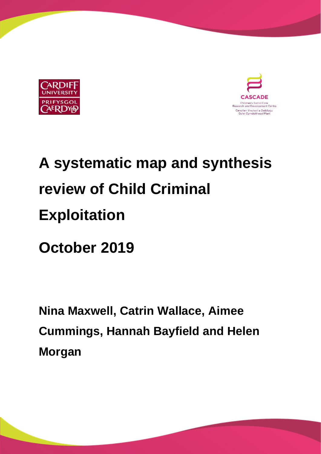



# **A systematic map and synthesis review of Child Criminal Exploitation**

**October 2019**

**Nina Maxwell, Catrin Wallace, Aimee Cummings, Hannah Bayfield and Helen Morgan**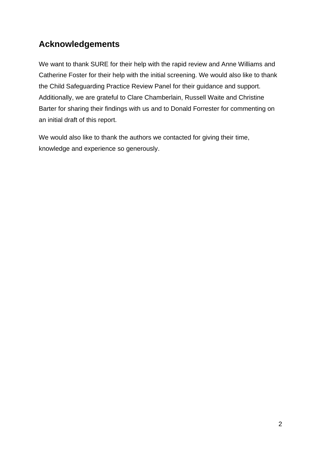# **Acknowledgements**

We want to thank SURE for their help with the rapid review and Anne Williams and Catherine Foster for their help with the initial screening. We would also like to thank the Child Safeguarding Practice Review Panel for their guidance and support. Additionally, we are grateful to Clare Chamberlain, Russell Waite and Christine Barter for sharing their findings with us and to Donald Forrester for commenting on an initial draft of this report.

We would also like to thank the authors we contacted for giving their time, knowledge and experience so generously.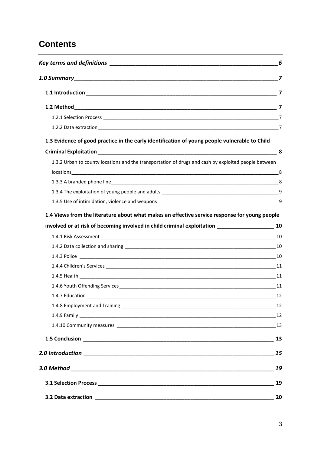# **Contents**

| 1.3 Evidence of good practice in the early identification of young people vulnerable to Child          |                                                                                               |
|--------------------------------------------------------------------------------------------------------|-----------------------------------------------------------------------------------------------|
|                                                                                                        |                                                                                               |
| 1.3.2 Urban to county locations and the transportation of drugs and cash by exploited people between   |                                                                                               |
|                                                                                                        |                                                                                               |
|                                                                                                        |                                                                                               |
|                                                                                                        |                                                                                               |
|                                                                                                        |                                                                                               |
| involved or at risk of becoming involved in child criminal exploitation ___________________________ 10 |                                                                                               |
|                                                                                                        | 1.4 Views from the literature about what makes an effective service response for young people |
|                                                                                                        |                                                                                               |
|                                                                                                        |                                                                                               |
|                                                                                                        |                                                                                               |
|                                                                                                        |                                                                                               |
|                                                                                                        |                                                                                               |
| 1.4.7 Education                                                                                        | 12                                                                                            |
|                                                                                                        |                                                                                               |
|                                                                                                        |                                                                                               |
|                                                                                                        |                                                                                               |
|                                                                                                        |                                                                                               |
|                                                                                                        | 15                                                                                            |
|                                                                                                        | 19                                                                                            |
|                                                                                                        | 19                                                                                            |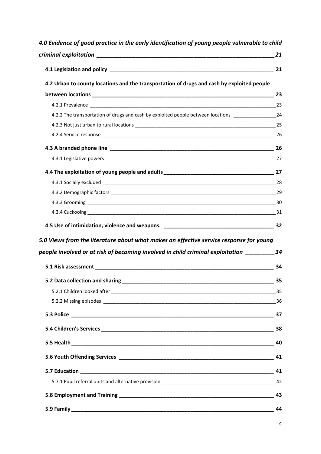| 4.0 Evidence of good practice in the early identification of young people vulnerable to child                                                                                                                                  |    |
|--------------------------------------------------------------------------------------------------------------------------------------------------------------------------------------------------------------------------------|----|
|                                                                                                                                                                                                                                |    |
|                                                                                                                                                                                                                                |    |
| 4.2 Urban to county locations and the transportation of drugs and cash by exploited people                                                                                                                                     |    |
|                                                                                                                                                                                                                                |    |
|                                                                                                                                                                                                                                |    |
| 4.2.2 The transportation of drugs and cash by exploited people between locations ____________________________24                                                                                                                |    |
|                                                                                                                                                                                                                                |    |
|                                                                                                                                                                                                                                |    |
|                                                                                                                                                                                                                                |    |
|                                                                                                                                                                                                                                |    |
|                                                                                                                                                                                                                                |    |
|                                                                                                                                                                                                                                |    |
|                                                                                                                                                                                                                                |    |
|                                                                                                                                                                                                                                |    |
|                                                                                                                                                                                                                                |    |
|                                                                                                                                                                                                                                |    |
| 5.0 Views from the literature about what makes an effective service response for young                                                                                                                                         |    |
| people involved or at risk of becoming involved in child criminal exploitation __________34                                                                                                                                    |    |
| 5.1 Risk assessment and the contract of the contract of the contract of the contract of the contract of the contract of the contract of the contract of the contract of the contract of the contract of the contract of the co | 34 |
| 5.2 Data collection and sharing_                                                                                                                                                                                               | 35 |
|                                                                                                                                                                                                                                |    |
|                                                                                                                                                                                                                                |    |
|                                                                                                                                                                                                                                |    |
|                                                                                                                                                                                                                                |    |
|                                                                                                                                                                                                                                |    |
|                                                                                                                                                                                                                                |    |
|                                                                                                                                                                                                                                |    |
|                                                                                                                                                                                                                                |    |
|                                                                                                                                                                                                                                |    |
|                                                                                                                                                                                                                                | 44 |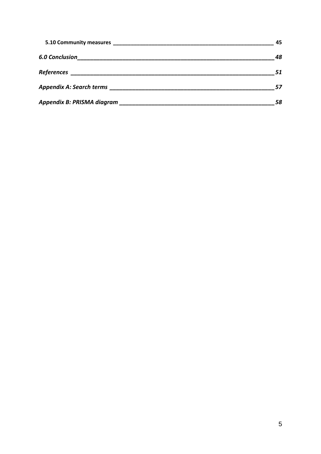|                       | 45  |
|-----------------------|-----|
| <b>6.0 Conclusion</b> | 48  |
|                       | -51 |
|                       |     |
|                       |     |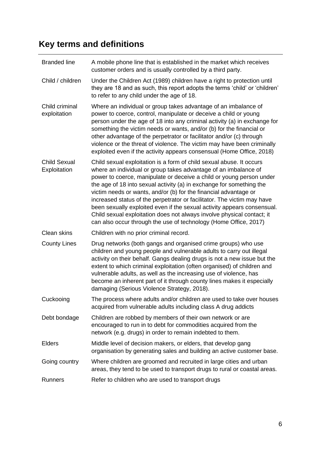# <span id="page-5-0"></span>**Key terms and definitions**

| <b>Branded line</b>                 | A mobile phone line that is established in the market which receives<br>customer orders and is usually controlled by a third party.                                                                                                                                                                                                                                                                                                                                                                                                                                                                                                                             |
|-------------------------------------|-----------------------------------------------------------------------------------------------------------------------------------------------------------------------------------------------------------------------------------------------------------------------------------------------------------------------------------------------------------------------------------------------------------------------------------------------------------------------------------------------------------------------------------------------------------------------------------------------------------------------------------------------------------------|
| Child / children                    | Under the Children Act (1989) children have a right to protection until<br>they are 18 and as such, this report adopts the terms 'child' or 'children'<br>to refer to any child under the age of 18.                                                                                                                                                                                                                                                                                                                                                                                                                                                            |
| Child criminal<br>exploitation      | Where an individual or group takes advantage of an imbalance of<br>power to coerce, control, manipulate or deceive a child or young<br>person under the age of 18 into any criminal activity (a) in exchange for<br>something the victim needs or wants, and/or (b) for the financial or<br>other advantage of the perpetrator or facilitator and/or (c) through<br>violence or the threat of violence. The victim may have been criminally<br>exploited even if the activity appears consensual (Home Office, 2018)                                                                                                                                            |
| <b>Child Sexual</b><br>Exploitation | Child sexual exploitation is a form of child sexual abuse. It occurs<br>where an individual or group takes advantage of an imbalance of<br>power to coerce, manipulate or deceive a child or young person under<br>the age of 18 into sexual activity (a) in exchange for something the<br>victim needs or wants, and/or (b) for the financial advantage or<br>increased status of the perpetrator or facilitator. The victim may have<br>been sexually exploited even if the sexual activity appears consensual.<br>Child sexual exploitation does not always involve physical contact; it<br>can also occur through the use of technology (Home Office, 2017) |
| Clean skins                         | Children with no prior criminal record.                                                                                                                                                                                                                                                                                                                                                                                                                                                                                                                                                                                                                         |
| <b>County Lines</b>                 | Drug networks (both gangs and organised crime groups) who use<br>children and young people and vulnerable adults to carry out illegal<br>activity on their behalf. Gangs dealing drugs is not a new issue but the<br>extent to which criminal exploitation (often organised) of children and<br>vulnerable adults, as well as the increasing use of violence, has<br>become an inherent part of it through county lines makes it especially<br>damaging (Serious Violence Strategy, 2018).                                                                                                                                                                      |
| Cuckooing                           | The process where adults and/or children are used to take over houses<br>acquired from vulnerable adults including class A drug addicts                                                                                                                                                                                                                                                                                                                                                                                                                                                                                                                         |
| Debt bondage                        | Children are robbed by members of their own network or are<br>encouraged to run in to debt for commodities acquired from the<br>network (e.g. drugs) in order to remain indebted to them.                                                                                                                                                                                                                                                                                                                                                                                                                                                                       |
| <b>Elders</b>                       | Middle level of decision makers, or elders, that develop gang<br>organisation by generating sales and building an active customer base.                                                                                                                                                                                                                                                                                                                                                                                                                                                                                                                         |
| Going country                       | Where children are groomed and recruited in large cities and urban<br>areas, they tend to be used to transport drugs to rural or coastal areas.                                                                                                                                                                                                                                                                                                                                                                                                                                                                                                                 |
| <b>Runners</b>                      | Refer to children who are used to transport drugs                                                                                                                                                                                                                                                                                                                                                                                                                                                                                                                                                                                                               |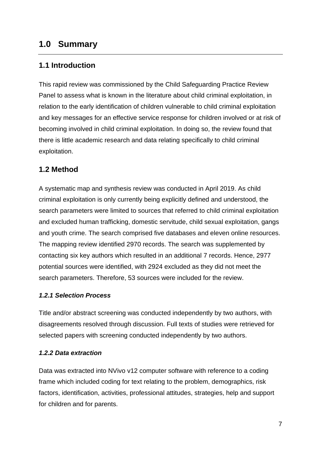# <span id="page-6-0"></span>**1.0 Summary**

# <span id="page-6-1"></span>**1.1 Introduction**

This rapid review was commissioned by the Child Safeguarding Practice Review Panel to assess what is known in the literature about child criminal exploitation, in relation to the early identification of children vulnerable to child criminal exploitation and key messages for an effective service response for children involved or at risk of becoming involved in child criminal exploitation. In doing so, the review found that there is little academic research and data relating specifically to child criminal exploitation.

## <span id="page-6-2"></span>**1.2 Method**

A systematic map and synthesis review was conducted in April 2019. As child criminal exploitation is only currently being explicitly defined and understood, the search parameters were limited to sources that referred to child criminal exploitation and excluded human trafficking, domestic servitude, child sexual exploitation, gangs and youth crime. The search comprised five databases and eleven online resources. The mapping review identified 2970 records. The search was supplemented by contacting six key authors which resulted in an additional 7 records. Hence, 2977 potential sources were identified, with 2924 excluded as they did not meet the search parameters. Therefore, 53 sources were included for the review.

#### <span id="page-6-3"></span>*1.2.1 Selection Process*

Title and/or abstract screening was conducted independently by two authors, with disagreements resolved through discussion. Full texts of studies were retrieved for selected papers with screening conducted independently by two authors.

#### <span id="page-6-4"></span>*1.2.2 Data extraction*

Data was extracted into NVivo v12 computer software with reference to a coding frame which included coding for text relating to the problem, demographics, risk factors, identification, activities, professional attitudes, strategies, help and support for children and for parents.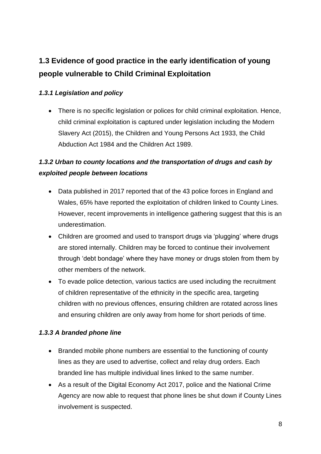# <span id="page-7-0"></span>**1.3 Evidence of good practice in the early identification of young people vulnerable to Child Criminal Exploitation**

## *1.3.1 Legislation and policy*

• There is no specific legislation or polices for child criminal exploitation. Hence, child criminal exploitation is captured under legislation including the Modern Slavery Act (2015), the Children and Young Persons Act 1933, the Child Abduction Act 1984 and the Children Act 1989.

# <span id="page-7-1"></span>*1.3.2 Urban to county locations and the transportation of drugs and cash by exploited people between locations*

- Data published in 2017 reported that of the 43 police forces in England and Wales, 65% have reported the exploitation of children linked to County Lines. However, recent improvements in intelligence gathering suggest that this is an underestimation.
- Children are groomed and used to transport drugs via 'plugging' where drugs are stored internally. Children may be forced to continue their involvement through 'debt bondage' where they have money or drugs stolen from them by other members of the network.
- To evade police detection, various tactics are used including the recruitment of children representative of the ethnicity in the specific area, targeting children with no previous offences, ensuring children are rotated across lines and ensuring children are only away from home for short periods of time.

# <span id="page-7-2"></span>*1.3.3 A branded phone line*

- Branded mobile phone numbers are essential to the functioning of county lines as they are used to advertise, collect and relay drug orders. Each branded line has multiple individual lines linked to the same number.
- As a result of the Digital Economy Act 2017, police and the National Crime Agency are now able to request that phone lines be shut down if County Lines involvement is suspected.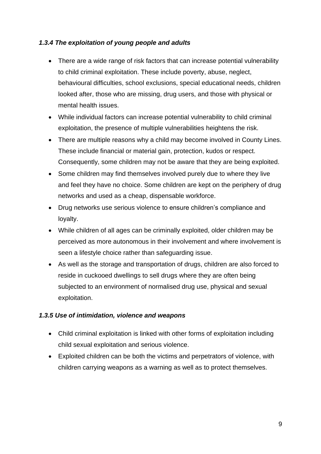#### <span id="page-8-0"></span>*1.3.4 The exploitation of young people and adults*

- There are a wide range of risk factors that can increase potential vulnerability to child criminal exploitation. These include poverty, abuse, neglect, behavioural difficulties, school exclusions, special educational needs, children looked after, those who are missing, drug users, and those with physical or mental health issues.
- While individual factors can increase potential vulnerability to child criminal exploitation, the presence of multiple vulnerabilities heightens the risk.
- There are multiple reasons why a child may become involved in County Lines. These include financial or material gain, protection, kudos or respect. Consequently, some children may not be aware that they are being exploited.
- Some children may find themselves involved purely due to where they live and feel they have no choice. Some children are kept on the periphery of drug networks and used as a cheap, dispensable workforce.
- Drug networks use serious violence to ensure children's compliance and loyalty.
- While children of all ages can be criminally exploited, older children may be perceived as more autonomous in their involvement and where involvement is seen a lifestyle choice rather than safeguarding issue.
- As well as the storage and transportation of drugs, children are also forced to reside in cuckooed dwellings to sell drugs where they are often being subjected to an environment of normalised drug use, physical and sexual exploitation.

#### <span id="page-8-1"></span>*1.3.5 Use of intimidation, violence and weapons*

- Child criminal exploitation is linked with other forms of exploitation including child sexual exploitation and serious violence.
- Exploited children can be both the victims and perpetrators of violence, with children carrying weapons as a warning as well as to protect themselves.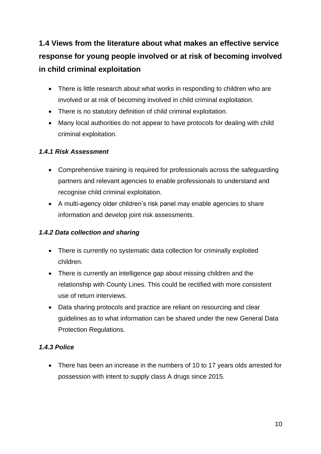# <span id="page-9-0"></span>**1.4 Views from the literature about what makes an effective service response for young people involved or at risk of becoming involved in child criminal exploitation**

- There is little research about what works in responding to children who are involved or at risk of becoming involved in child criminal exploitation.
- There is no statutory definition of child criminal exploitation.
- Many local authorities do not appear to have protocols for dealing with child criminal exploitation.

## <span id="page-9-1"></span>*1.4.1 Risk Assessment*

- Comprehensive training is required for professionals across the safeguarding partners and relevant agencies to enable professionals to understand and recognise child criminal exploitation.
- A multi-agency older children's risk panel may enable agencies to share information and develop joint risk assessments.

## <span id="page-9-2"></span>*1.4.2 Data collection and sharing*

- There is currently no systematic data collection for criminally exploited children.
- There is currently an intelligence gap about missing children and the relationship with County Lines. This could be rectified with more consistent use of return interviews.
- Data sharing protocols and practice are reliant on resourcing and clear guidelines as to what information can be shared under the new General Data Protection Regulations.

# <span id="page-9-3"></span>*1.4.3 Police*

• There has been an increase in the numbers of 10 to 17 years olds arrested for possession with intent to supply class A drugs since 2015.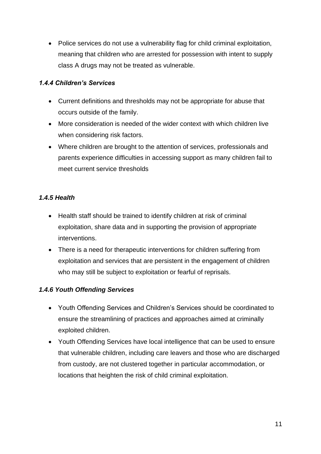• Police services do not use a vulnerability flag for child criminal exploitation, meaning that children who are arrested for possession with intent to supply class A drugs may not be treated as vulnerable.

#### <span id="page-10-0"></span>*1.4.4 Children's Services*

- Current definitions and thresholds may not be appropriate for abuse that occurs outside of the family.
- More consideration is needed of the wider context with which children live when considering risk factors.
- Where children are brought to the attention of services, professionals and parents experience difficulties in accessing support as many children fail to meet current service thresholds

## <span id="page-10-1"></span>*1.4.5 Health*

- Health staff should be trained to identify children at risk of criminal exploitation, share data and in supporting the provision of appropriate interventions.
- There is a need for therapeutic interventions for children suffering from exploitation and services that are persistent in the engagement of children who may still be subject to exploitation or fearful of reprisals.

## <span id="page-10-2"></span>*1.4.6 Youth Offending Services*

- Youth Offending Services and Children's Services should be coordinated to ensure the streamlining of practices and approaches aimed at criminally exploited children.
- Youth Offending Services have local intelligence that can be used to ensure that vulnerable children, including care leavers and those who are discharged from custody, are not clustered together in particular accommodation, or locations that heighten the risk of child criminal exploitation.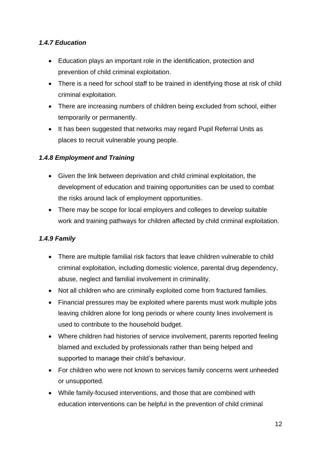## <span id="page-11-0"></span>*1.4.7 Education*

- Education plays an important role in the identification, protection and prevention of child criminal exploitation.
- There is a need for school staff to be trained in identifying those at risk of child criminal exploitation.
- There are increasing numbers of children being excluded from school, either temporarily or permanently.
- It has been suggested that networks may regard Pupil Referral Units as places to recruit vulnerable young people.

## <span id="page-11-1"></span>*1.4.8 Employment and Training*

- Given the link between deprivation and child criminal exploitation, the development of education and training opportunities can be used to combat the risks around lack of employment opportunities.
- There may be scope for local employers and colleges to develop suitable work and training pathways for children affected by child criminal exploitation.

# <span id="page-11-2"></span>*1.4.9 Family*

- There are multiple familial risk factors that leave children vulnerable to child criminal exploitation, including domestic violence, parental drug dependency, abuse, neglect and familial involvement in criminality.
- Not all children who are criminally exploited come from fractured families.
- Financial pressures may be exploited where parents must work multiple jobs leaving children alone for long periods or where county lines involvement is used to contribute to the household budget.
- Where children had histories of service involvement, parents reported feeling blamed and excluded by professionals rather than being helped and supported to manage their child's behaviour.
- For children who were not known to services family concerns went unheeded or unsupported.
- While family-focused interventions, and those that are combined with education interventions can be helpful in the prevention of child criminal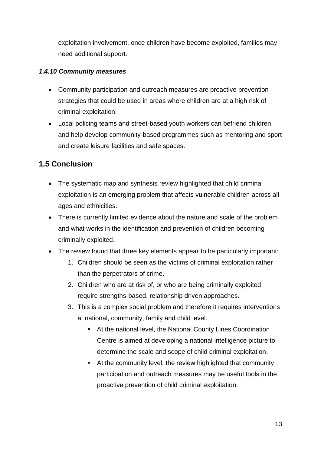exploitation involvement, once children have become exploited, families may need additional support.

#### <span id="page-12-0"></span>*1.4.10 Community measures*

- Community participation and outreach measures are proactive prevention strategies that could be used in areas where children are at a high risk of criminal exploitation.
- Local policing teams and street-based youth workers can befriend children and help develop community-based programmes such as mentoring and sport and create leisure facilities and safe spaces.

# <span id="page-12-1"></span>**1.5 Conclusion**

- The systematic map and synthesis review highlighted that child criminal exploitation is an emerging problem that affects vulnerable children across all ages and ethnicities.
- There is currently limited evidence about the nature and scale of the problem and what works in the identification and prevention of children becoming criminally exploited.
- The review found that three key elements appear to be particularly important:
	- 1. Children should be seen as the victims of criminal exploitation rather than the perpetrators of crime.
	- 2. Children who are at risk of, or who are being criminally exploited require strengths-based, relationship driven approaches.
	- 3. This is a complex social problem and therefore it requires interventions at national, community, family and child level.
		- At the national level, the National County Lines Coordination Centre is aimed at developing a national intelligence picture to determine the scale and scope of child criminal exploitation.
		- At the community level, the review highlighted that community participation and outreach measures may be useful tools in the proactive prevention of child criminal exploitation.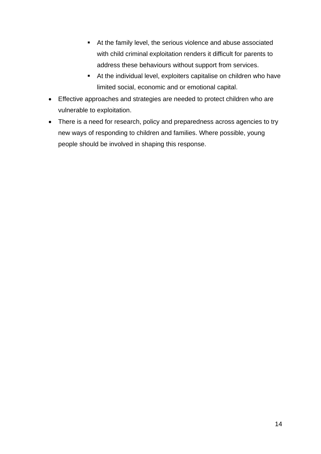- At the family level, the serious violence and abuse associated with child criminal exploitation renders it difficult for parents to address these behaviours without support from services.
- At the individual level, exploiters capitalise on children who have limited social, economic and or emotional capital.
- Effective approaches and strategies are needed to protect children who are vulnerable to exploitation.
- There is a need for research, policy and preparedness across agencies to try new ways of responding to children and families. Where possible, young people should be involved in shaping this response.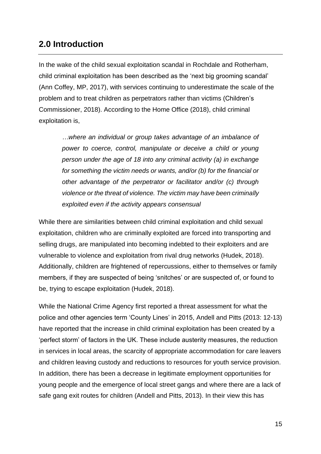# <span id="page-14-0"></span>**2.0 Introduction**

In the wake of the child sexual exploitation scandal in Rochdale and Rotherham, child criminal exploitation has been described as the 'next big grooming scandal' (Ann Coffey, MP, 2017), with services continuing to underestimate the scale of the problem and to treat children as perpetrators rather than victims (Children's Commissioner, 2018). According to the Home Office (2018), child criminal exploitation is,

*…where an individual or group takes advantage of an imbalance of power to coerce, control, manipulate or deceive a child or young person under the age of 18 into any criminal activity (a) in exchange for something the victim needs or wants, and/or (b) for the financial or other advantage of the perpetrator or facilitator and/or (c) through violence or the threat of violence. The victim may have been criminally exploited even if the activity appears consensual*

While there are similarities between child criminal exploitation and child sexual exploitation, children who are criminally exploited are forced into transporting and selling drugs, are manipulated into becoming indebted to their exploiters and are vulnerable to violence and exploitation from rival drug networks (Hudek, 2018). Additionally, children are frightened of repercussions, either to themselves or family members, if they are suspected of being 'snitches' or are suspected of, or found to be, trying to escape exploitation (Hudek, 2018).

While the National Crime Agency first reported a threat assessment for what the police and other agencies term 'County Lines' in 2015, Andell and Pitts (2013: 12-13) have reported that the increase in child criminal exploitation has been created by a 'perfect storm' of factors in the UK. These include austerity measures, the reduction in services in local areas, the scarcity of appropriate accommodation for care leavers and children leaving custody and reductions to resources for youth service provision. In addition, there has been a decrease in legitimate employment opportunities for young people and the emergence of local street gangs and where there are a lack of safe gang exit routes for children (Andell and Pitts, 2013). In their view this has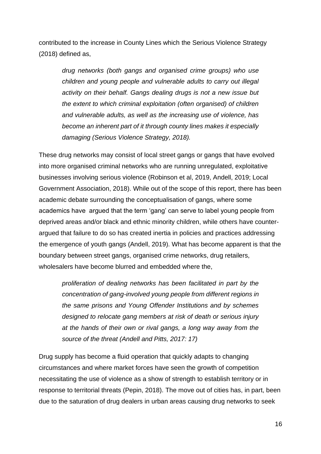contributed to the increase in County Lines which the Serious Violence Strategy (2018) defined as,

> *drug networks (both gangs and organised crime groups) who use children and young people and vulnerable adults to carry out illegal activity on their behalf. Gangs dealing drugs is not a new issue but the extent to which criminal exploitation (often organised) of children and vulnerable adults, as well as the increasing use of violence, has become an inherent part of it through county lines makes it especially damaging (Serious Violence Strategy, 2018).*

These drug networks may consist of local street gangs or gangs that have evolved into more organised criminal networks who are running unregulated, exploitative businesses involving serious violence (Robinson et al, 2019, Andell, 2019; Local Government Association, 2018). While out of the scope of this report, there has been academic debate surrounding the conceptualisation of gangs, where some academics have argued that the term 'gang' can serve to label young people from deprived areas and/or black and ethnic minority children, while others have counterargued that failure to do so has created inertia in policies and practices addressing the emergence of youth gangs (Andell, 2019). What has become apparent is that the boundary between street gangs, organised crime networks, drug retailers, wholesalers have become blurred and embedded where the,

*proliferation of dealing networks has been facilitated in part by the concentration of gang-involved young people from different regions in the same prisons and Young Offender Institutions and by schemes designed to relocate gang members at risk of death or serious injury at the hands of their own or rival gangs, a long way away from the source of the threat (Andell and Pitts, 2017: 17)*

Drug supply has become a fluid operation that quickly adapts to changing circumstances and where market forces have seen the growth of competition necessitating the use of violence as a show of strength to establish territory or in response to territorial threats (Pepin, 2018). The move out of cities has, in part, been due to the saturation of drug dealers in urban areas causing drug networks to seek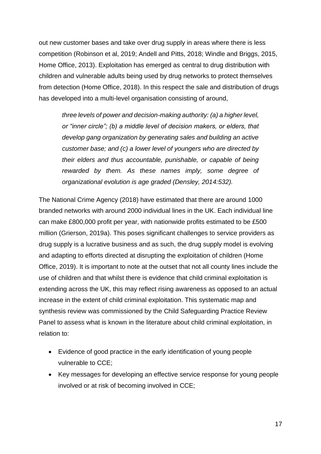out new customer bases and take over drug supply in areas where there is less competition (Robinson et al, 2019; Andell and Pitts, 2018; Windle and Briggs, 2015, Home Office, 2013). Exploitation has emerged as central to drug distribution with children and vulnerable adults being used by drug networks to protect themselves from detection (Home Office, 2018). In this respect the sale and distribution of drugs has developed into a multi-level organisation consisting of around,

*three levels of power and decision-making authority: (a) a higher level, or "inner circle"; (b) a middle level of decision makers, or elders, that develop gang organization by generating sales and building an active customer base; and (c) a lower level of youngers who are directed by their elders and thus accountable, punishable, or capable of being rewarded by them. As these names imply, some degree of organizational evolution is age graded (Densley, 2014:532).*

The National Crime Agency (2018) have estimated that there are around 1000 branded networks with around 2000 individual lines in the UK. Each individual line can make £800,000 profit per year, with nationwide profits estimated to be £500 million (Grierson, 2019a). This poses significant challenges to service providers as drug supply is a lucrative business and as such, the drug supply model is evolving and adapting to efforts directed at disrupting the exploitation of children (Home Office, 2019). It is important to note at the outset that not all county lines include the use of children and that whilst there is evidence that child criminal exploitation is extending across the UK, this may reflect rising awareness as opposed to an actual increase in the extent of child criminal exploitation. This systematic map and synthesis review was commissioned by the Child Safeguarding Practice Review Panel to assess what is known in the literature about child criminal exploitation, in relation to:

- Evidence of good practice in the early identification of young people vulnerable to CCE;
- Key messages for developing an effective service response for young people involved or at risk of becoming involved in CCE;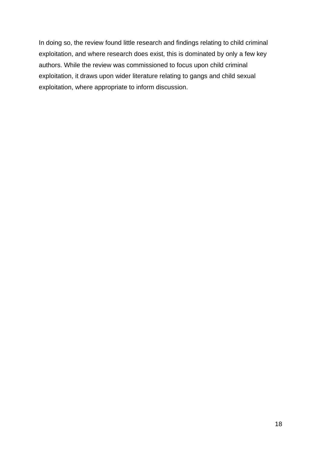In doing so, the review found little research and findings relating to child criminal exploitation, and where research does exist, this is dominated by only a few key authors. While the review was commissioned to focus upon child criminal exploitation, it draws upon wider literature relating to gangs and child sexual exploitation, where appropriate to inform discussion.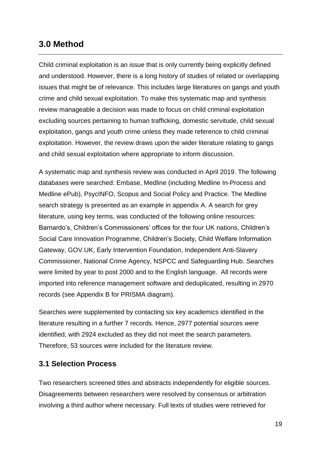# <span id="page-18-0"></span>**3.0 Method**

Child criminal exploitation is an issue that is only currently being explicitly defined and understood. However, there is a long history of studies of related or overlapping issues that might be of relevance. This includes large literatures on gangs and youth crime and child sexual exploitation. To make this systematic map and synthesis review manageable a decision was made to focus on child criminal exploitation excluding sources pertaining to human trafficking, domestic servitude, child sexual exploitation, gangs and youth crime unless they made reference to child criminal exploitation. However, the review draws upon the wider literature relating to gangs and child sexual exploitation where appropriate to inform discussion.

A systematic map and synthesis review was conducted in April 2019. The following databases were searched: Embase, Medline (including Medline In-Process and Medline ePub), PsycINFO, Scopus and Social Policy and Practice. The Medline search strategy is presented as an example in appendix A. A search for grey literature, using key terms, was conducted of the following online resources: Barnardo's, Children's Commissioners' offices for the four UK nations, Children's Social Care Innovation Programme, Children's Society, Child Welfare Information Gateway, GOV.UK, Early Intervention Foundation, Independent Anti-Slavery Commissioner, National Crime Agency, NSPCC and Safeguarding Hub. Searches were limited by year to post 2000 and to the English language. All records were imported into reference management software and deduplicated, resulting in 2970 records (see Appendix B for PRISMA diagram).

Searches were supplemented by contacting six key academics identified in the literature resulting in a further 7 records. Hence, 2977 potential sources *were*  identified, with 2924 excluded as they did not meet the search parameters. Therefore, 53 sources were included for the literature review.

## <span id="page-18-1"></span>**3.1 Selection Process**

Two researchers screened titles and abstracts independently for eligible sources. Disagreements between researchers were resolved by consensus or arbitration involving a third author where necessary. Full texts of studies were retrieved for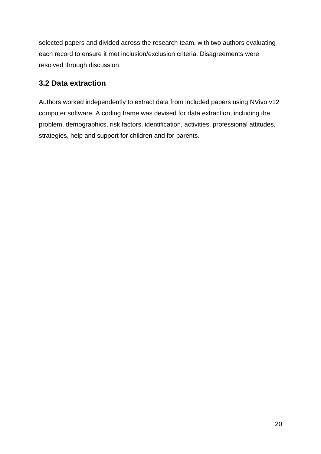selected papers and divided across the research team, with two authors evaluating each record to ensure it met inclusion/exclusion criteria. Disagreements were resolved through discussion.

# <span id="page-19-0"></span>**3.2 Data extraction**

Authors worked independently to extract data from included papers using NVivo v12 computer software. A coding frame was devised for data extraction, including the problem, demographics, risk factors, identification, activities, professional attitudes, strategies, help and support for children and for parents.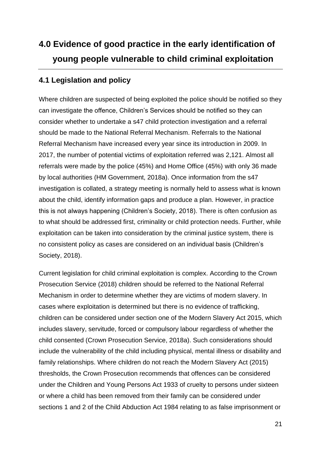# <span id="page-20-0"></span>**4.0 Evidence of good practice in the early identification of young people vulnerable to child criminal exploitation**

# <span id="page-20-1"></span>**4.1 Legislation and policy**

Where children are suspected of being exploited the police should be notified so they can investigate the offence, Children's Services should be notified so they can consider whether to undertake a s47 child protection investigation and a referral should be made to the National Referral Mechanism. Referrals to the National Referral Mechanism have increased every year since its introduction in 2009. In 2017, the number of potential victims of exploitation referred was 2,121. Almost all referrals were made by the police (45%) and Home Office (45%) with only 36 made by local authorities (HM Government, 2018a). Once information from the s47 investigation is collated, a strategy meeting is normally held to assess what is known about the child, identify information gaps and produce a plan. However, in practice this is not always happening (Children's Society, 2018). There is often confusion as to what should be addressed first, criminality or child protection needs. Further, while exploitation can be taken into consideration by the criminal justice system, there is no consistent policy as cases are considered on an individual basis (Children's Society, 2018).

Current legislation for child criminal exploitation is complex. According to the Crown Prosecution Service (2018) children should be referred to the National Referral Mechanism in order to determine whether they are victims of modern slavery. In cases where exploitation is determined but there is no evidence of trafficking, children can be considered under section one of the Modern Slavery Act 2015, which includes slavery, servitude, forced or compulsory labour regardless of whether the child consented (Crown Prosecution Service, 2018a). Such considerations should include the vulnerability of the child including physical, mental illness or disability and family relationships. Where children do not reach the Modern Slavery Act (2015) thresholds, the Crown Prosecution recommends that offences can be considered under the Children and Young Persons Act 1933 of cruelty to persons under sixteen or where a child has been removed from their family can be considered under sections 1 and 2 of the Child Abduction Act 1984 relating to as false imprisonment or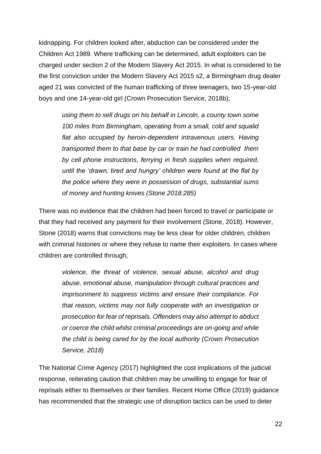kidnapping. For children looked after, abduction can be considered under the Children Act 1989. Where trafficking can be determined, adult exploiters can be charged under section 2 of the Modern Slavery Act 2015. In what is considered to be the first conviction under the Modern Slavery Act 2015 s2, a Birmingham drug dealer aged 21 was convicted of the human trafficking of three teenagers, two 15-year-old boys and one 14-year-old girl (Crown Prosecution Service, 2018b),

*using them to sell drugs on his behalf in Lincoln, a county town some 100 miles from Birmingham, operating from a small, cold and squalid*  flat also occupied by heroin-dependent intravenous users. Having *transported them to that base by car or train he had controlled them by cell phone instructions, ferrying in fresh supplies when required, until the 'drawn, tired and hungry' children were found at the flat by the police where they were in possession of drugs, substantial sums of money and hunting knives (Stone 2018:285)*

There was no evidence that the children had been forced to travel or participate or that they had received any payment for their involvement (Stone, 2018). However, Stone (2018) warns that convictions may be less clear for older children, children with criminal histories or where they refuse to name their exploiters. In cases where children are controlled through,

*violence, the threat of violence, sexual abuse, alcohol and drug abuse, emotional abuse, manipulation through cultural practices and imprisonment to suppress victims and ensure their compliance. For that reason, victims may not fully cooperate with an investigation or prosecution for fear of reprisals. Offenders may also attempt to abduct or coerce the child whilst criminal proceedings are on-going and while the child is being cared for by the local authority (Crown Prosecution Service, 2018)*

The National Crime Agency (2017) highlighted the cost implications of the judicial response, reiterating caution that children may be unwilling to engage for fear of reprisals either to themselves or their families. Recent Home Office (2019) guidance has recommended that the strategic use of disruption tactics can be used to deter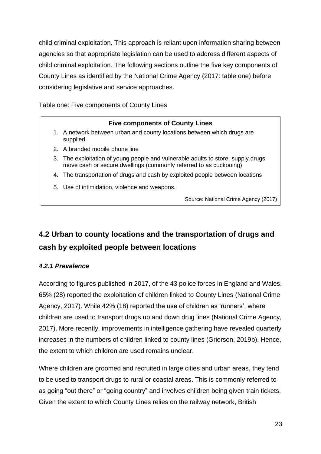child criminal exploitation. This approach is reliant upon information sharing between agencies so that appropriate legislation can be used to address different aspects of child criminal exploitation. The following sections outline the five key components of County Lines as identified by the National Crime Agency (2017: table one) before considering legislative and service approaches.

Table one: Five components of County Lines

#### **Five components of County Lines**

- 1. A network between urban and county locations between which drugs are supplied
- 2. A branded mobile phone line
- 3. The exploitation of young people and vulnerable adults to store, supply drugs, move cash or secure dwellings (commonly referred to as cuckooing)
- 4. The transportation of drugs and cash by exploited people between locations
- 5. Use of intimidation, violence and weapons.

Source: National Crime Agency (2017)

# <span id="page-22-0"></span>**4.2 Urban to county locations and the transportation of drugs and cash by exploited people between locations**

#### <span id="page-22-1"></span>*4.2.1 Prevalence*

According to figures published in 2017, of the 43 police forces in England and Wales, 65% (28) reported the exploitation of children linked to County Lines (National Crime Agency, 2017). While 42% (18) reported the use of children as 'runners', where children are used to transport drugs up and down drug lines (National Crime Agency, 2017). More recently, improvements in intelligence gathering have revealed quarterly increases in the numbers of children linked to county lines (Grierson, 2019b). Hence, the extent to which children are used remains unclear.

Where children are groomed and recruited in large cities and urban areas, they tend to be used to transport drugs to rural or coastal areas. This is commonly referred to as going "out there" or "going country" and involves children being given train tickets. Given the extent to which County Lines relies on the railway network, British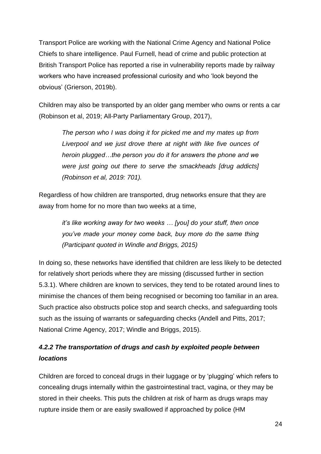Transport Police are working with the National Crime Agency and National Police Chiefs to share intelligence. Paul Furnell, head of crime and public protection at British Transport Police has reported a rise in vulnerability reports made by railway workers who have increased professional curiosity and who 'look beyond the obvious' (Grierson, 2019b).

Children may also be transported by an older gang member who owns or rents a car (Robinson et al, 2019; All-Party Parliamentary Group, 2017),

*The person who I was doing it for picked me and my mates up from Liverpool and we just drove there at night with like five ounces of heroin plugged…the person you do it for answers the phone and we were just going out there to serve the smackheads [drug addicts] (Robinson et al, 2019: 701).* 

Regardless of how children are transported, drug networks ensure that they are away from home for no more than two weeks at a time,

> *it's like working away for two weeks … [you] do your stuff, then once you've made your money come back, buy more do the same thing (Participant quoted in Windle and Briggs, 2015)*

In doing so, these networks have identified that children are less likely to be detected for relatively short periods where they are missing (discussed further in section 5.3.1). Where children are known to services, they tend to be rotated around lines to minimise the chances of them being recognised or becoming too familiar in an area. Such practice also obstructs police stop and search checks, and safeguarding tools such as the issuing of warrants or safeguarding checks (Andell and Pitts, 2017; National Crime Agency, 2017; Windle and Briggs, 2015).

# <span id="page-23-0"></span>*4.2.2 The transportation of drugs and cash by exploited people between locations*

Children are forced to conceal drugs in their luggage or by 'plugging' which refers to concealing drugs internally within the gastrointestinal tract, vagina, or they may be stored in their cheeks. This puts the children at risk of harm as drugs wraps may rupture inside them or are easily swallowed if approached by police (HM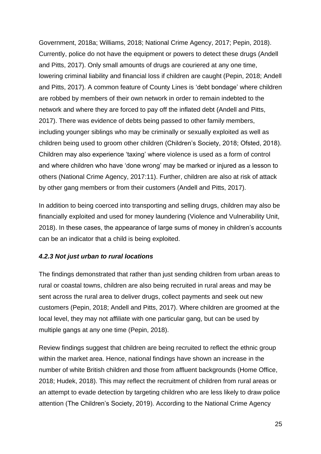Government, 2018a; Williams, 2018; National Crime Agency, 2017; Pepin, 2018). Currently, police do not have the equipment or powers to detect these drugs (Andell and Pitts, 2017). Only small amounts of drugs are couriered at any one time, lowering criminal liability and financial loss if children are caught (Pepin, 2018; Andell and Pitts, 2017). A common feature of County Lines is 'debt bondage' where children are robbed by members of their own network in order to remain indebted to the network and where they are forced to pay off the inflated debt (Andell and Pitts, 2017). There was evidence of debts being passed to other family members, including younger siblings who may be criminally or sexually exploited as well as children being used to groom other children (Children's Society, 2018; Ofsted, 2018). Children may also experience 'taxing' where violence is used as a form of control and where children who have 'done wrong' may be marked or injured as a lesson to others (National Crime Agency, 2017:11). Further, children are also at risk of attack by other gang members or from their customers (Andell and Pitts, 2017).

In addition to being coerced into transporting and selling drugs, children may also be financially exploited and used for money laundering (Violence and Vulnerability Unit, 2018). In these cases, the appearance of large sums of money in children's accounts can be an indicator that a child is being exploited.

#### <span id="page-24-0"></span>*4.2.3 Not just urban to rural locations*

The findings demonstrated that rather than just sending children from urban areas to rural or coastal towns, children are also being recruited in rural areas and may be sent across the rural area to deliver drugs, collect payments and seek out new customers (Pepin, 2018; Andell and Pitts, 2017). Where children are groomed at the local level, they may not affiliate with one particular gang, but can be used by multiple gangs at any one time (Pepin, 2018).

Review findings suggest that children are being recruited to reflect the ethnic group within the market area. Hence, national findings have shown an increase in the number of white British children and those from affluent backgrounds (Home Office, 2018; Hudek, 2018). This may reflect the recruitment of children from rural areas or an attempt to evade detection by targeting children who are less likely to draw police attention (The Children's Society, 2019). According to the National Crime Agency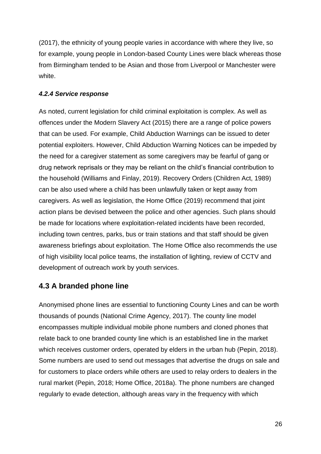(2017), the ethnicity of young people varies in accordance with where they live, so for example, young people in London-based County Lines were black whereas those from Birmingham tended to be Asian and those from Liverpool or Manchester were white.

#### <span id="page-25-0"></span>*4.2.4 Service response*

As noted, current legislation for child criminal exploitation is complex. As well as offences under the Modern Slavery Act (2015) there are a range of police powers that can be used. For example, Child Abduction Warnings can be issued to deter potential exploiters. However, Child Abduction Warning Notices can be impeded by the need for a caregiver statement as some caregivers may be fearful of gang or drug network reprisals or they may be reliant on the child's financial contribution to the household (Williams and Finlay, 2019). Recovery Orders (Children Act, 1989) can be also used where a child has been unlawfully taken or kept away from caregivers. As well as legislation, the Home Office (2019) recommend that joint action plans be devised between the police and other agencies. Such plans should be made for locations where exploitation-related incidents have been recorded, including town centres, parks, bus or train stations and that staff should be given awareness briefings about exploitation. The Home Office also recommends the use of high visibility local police teams, the installation of lighting, review of CCTV and development of outreach work by youth services.

# <span id="page-25-1"></span>**4.3 A branded phone line**

Anonymised phone lines are essential to functioning County Lines and can be worth thousands of pounds (National Crime Agency, 2017). The county line model encompasses multiple individual mobile phone numbers and cloned phones that relate back to one branded county line which is an established line in the market which receives customer orders, operated by elders in the urban hub (Pepin, 2018). Some numbers are used to send out messages that advertise the drugs on sale and for customers to place orders while others are used to relay orders to dealers in the rural market (Pepin, 2018; Home Office, 2018a). The phone numbers are changed regularly to evade detection, although areas vary in the frequency with which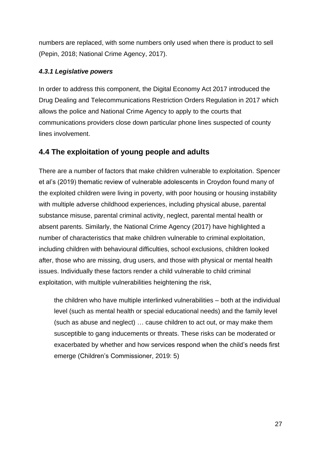numbers are replaced, with some numbers only used when there is product to sell (Pepin, 2018; National Crime Agency, 2017).

#### <span id="page-26-0"></span>*4.3.1 Legislative powers*

In order to address this component, the Digital Economy Act 2017 introduced the Drug Dealing and Telecommunications Restriction Orders Regulation in 2017 which allows the police and National Crime Agency to apply to the courts that communications providers close down particular phone lines suspected of county lines involvement.

# <span id="page-26-1"></span>**4.4 The exploitation of young people and adults**

There are a number of factors that make children vulnerable to exploitation. Spencer et al's (2019) thematic review of vulnerable adolescents in Croydon found many of the exploited children were living in poverty, with poor housing or housing instability with multiple adverse childhood experiences, including physical abuse, parental substance misuse, parental criminal activity, neglect, parental mental health or absent parents. Similarly, the National Crime Agency (2017) have highlighted a number of characteristics that make children vulnerable to criminal exploitation, including children with behavioural difficulties, school exclusions, children looked after, those who are missing, drug users, and those with physical or mental health issues. Individually these factors render a child vulnerable to child criminal exploitation, with multiple vulnerabilities heightening the risk,

the children who have multiple interlinked vulnerabilities – both at the individual level (such as mental health or special educational needs) and the family level (such as abuse and neglect) … cause children to act out, or may make them susceptible to gang inducements or threats. These risks can be moderated or exacerbated by whether and how services respond when the child's needs first emerge (Children's Commissioner, 2019: 5)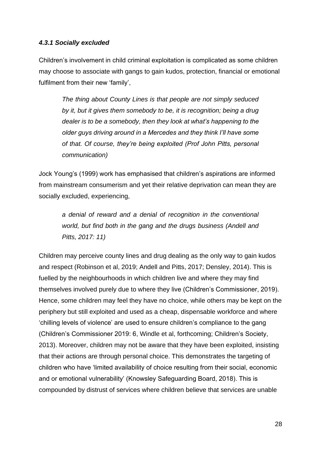#### <span id="page-27-0"></span>*4.3.1 Socially excluded*

Children's involvement in child criminal exploitation is complicated as some children may choose to associate with gangs to gain kudos, protection, financial or emotional fulfilment from their new 'family',

*The thing about County Lines is that people are not simply seduced by it, but it gives them somebody to be, it is recognition; being a drug dealer is to be a somebody, then they look at what's happening to the older guys driving around in a Mercedes and they think I'll have some of that. Of course, they're being exploited (Prof John Pitts, personal communication)*

Jock Young's (1999) work has emphasised that children's aspirations are informed from mainstream consumerism and yet their relative deprivation can mean they are socially excluded, experiencing,

*a denial of reward and a denial of recognition in the conventional world, but find both in the gang and the drugs business (Andell and Pitts, 2017: 11)*

Children may perceive county lines and drug dealing as the only way to gain kudos and respect (Robinson et al, 2019; Andell and Pitts, 2017; Densley, 2014). This is fuelled by the neighbourhoods in which children live and where they may find themselves involved purely due to where they live (Children's Commissioner, 2019). Hence, some children may feel they have no choice, while others may be kept on the periphery but still exploited and used as a cheap, dispensable workforce and where 'chilling levels of violence' are used to ensure children's compliance to the gang (Children's Commissioner 2019: 6, Windle et al, forthcoming; Children's Society, 2013). Moreover, children may not be aware that they have been exploited, insisting that their actions are through personal choice. This demonstrates the targeting of children who have 'limited availability of choice resulting from their social, economic and or emotional vulnerability' (Knowsley Safeguarding Board, 2018). This is compounded by distrust of services where children believe that services are unable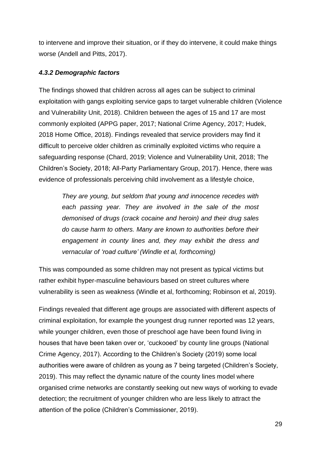to intervene and improve their situation, or if they do intervene, it could make things worse (Andell and Pitts, 2017).

#### <span id="page-28-0"></span>*4.3.2 Demographic factors*

The findings showed that children across all ages can be subject to criminal exploitation with gangs exploiting service gaps to target vulnerable children (Violence and Vulnerability Unit, 2018). Children between the ages of 15 and 17 are most commonly exploited (APPG paper, 2017; National Crime Agency, 2017; Hudek, 2018 Home Office, 2018). Findings revealed that service providers may find it difficult to perceive older children as criminally exploited victims who require a safeguarding response (Chard, 2019; Violence and Vulnerability Unit, 2018; The Children's Society, 2018; All-Party Parliamentary Group, 2017). Hence, there was evidence of professionals perceiving child involvement as a lifestyle choice,

*They are young, but seldom that young and innocence recedes with each passing year. They are involved in the sale of the most demonised of drugs (crack cocaine and heroin) and their drug sales do cause harm to others. Many are known to authorities before their engagement in county lines and, they may exhibit the dress and vernacular of 'road culture' (Windle et al, forthcoming)*

This was compounded as some children may not present as typical victims but rather exhibit hyper-masculine behaviours based on street cultures where vulnerability is seen as weakness (Windle et al, forthcoming; Robinson et al, 2019).

Findings revealed that different age groups are associated with different aspects of criminal exploitation, for example the youngest drug runner reported was 12 years, while younger children, even those of preschool age have been found living in houses that have been taken over or, 'cuckooed' by county line groups (National Crime Agency, 2017). According to the Children's Society (2019) some local authorities were aware of children as young as 7 being targeted (Children's Society, 2019). This may reflect the dynamic nature of the county lines model where organised crime networks are constantly seeking out new ways of working to evade detection; the recruitment of younger children who are less likely to attract the attention of the police (Children's Commissioner, 2019).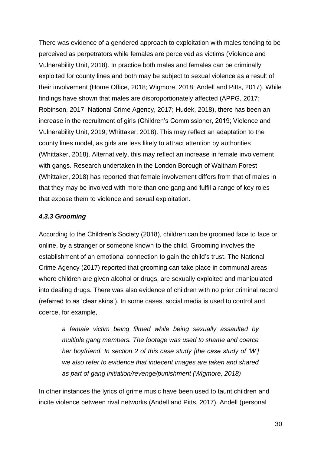There was evidence of a gendered approach to exploitation with males tending to be perceived as perpetrators while females are perceived as victims (Violence and Vulnerability Unit, 2018). In practice both males and females can be criminally exploited for county lines and both may be subject to sexual violence as a result of their involvement (Home Office, 2018; Wigmore, 2018; Andell and Pitts, 2017). While findings have shown that males are disproportionately affected (APPG, 2017; Robinson, 2017; National Crime Agency, 2017; Hudek, 2018), there has been an increase in the recruitment of girls (Children's Commissioner, 2019; Violence and Vulnerability Unit, 2019; Whittaker, 2018). This may reflect an adaptation to the county lines model, as girls are less likely to attract attention by authorities (Whittaker, 2018). Alternatively, this may reflect an increase in female involvement with gangs. Research undertaken in the London Borough of Waltham Forest (Whittaker, 2018) has reported that female involvement differs from that of males in that they may be involved with more than one gang and fulfil a range of key roles that expose them to violence and sexual exploitation.

#### <span id="page-29-0"></span>*4.3.3 Grooming*

According to the Children's Society (2018), children can be groomed face to face or online, by a stranger or someone known to the child. Grooming involves the establishment of an emotional connection to gain the child's trust. The National Crime Agency (2017) reported that grooming can take place in communal areas where children are given alcohol or drugs, are sexually exploited and manipulated into dealing drugs. There was also evidence of children with no prior criminal record (referred to as 'clear skins'). In some cases, social media is used to control and coerce, for example,

*a female victim being filmed while being sexually assaulted by multiple gang members. The footage was used to shame and coerce her boyfriend. In section 2 of this case study [the case study of 'W'] we also refer to evidence that indecent images are taken and shared as part of gang initiation/revenge/punishment (Wigmore, 2018)*

In other instances the lyrics of grime music have been used to taunt children and incite violence between rival networks (Andell and Pitts, 2017). Andell (personal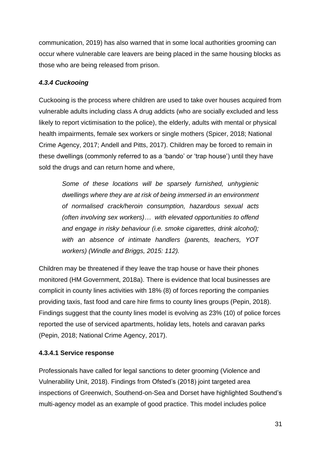communication, 2019) has also warned that in some local authorities grooming can occur where vulnerable care leavers are being placed in the same housing blocks as those who are being released from prison.

#### <span id="page-30-0"></span>*4.3.4 Cuckooing*

Cuckooing is the process where children are used to take over houses acquired from vulnerable adults including class A drug addicts (who are socially excluded and less likely to report victimisation to the police), the elderly, adults with mental or physical health impairments, female sex workers or single mothers (Spicer, 2018; National Crime Agency, 2017; Andell and Pitts, 2017). Children may be forced to remain in these dwellings (commonly referred to as a 'bando' or 'trap house') until they have sold the drugs and can return home and where,

*Some of these locations will be sparsely furnished, unhygienic dwellings where they are at risk of being immersed in an environment of normalised crack/heroin consumption, hazardous sexual acts (often involving sex workers)… with elevated opportunities to offend and engage in risky behaviour (i.e. smoke cigarettes, drink alcohol); with an absence of intimate handlers (parents, teachers, YOT workers) (Windle and Briggs, 2015: 112).* 

Children may be threatened if they leave the trap house or have their phones monitored (HM Government, 2018a). There is evidence that local businesses are complicit in county lines activities with 18% (8) of forces reporting the companies providing taxis, fast food and care hire firms to county lines groups (Pepin, 2018). Findings suggest that the county lines model is evolving as 23% (10) of police forces reported the use of serviced apartments, holiday lets, hotels and caravan parks (Pepin, 2018; National Crime Agency, 2017).

#### **4.3.4.1 Service response**

Professionals have called for legal sanctions to deter grooming (Violence and Vulnerability Unit, 2018). Findings from Ofsted's (2018) joint targeted area inspections of Greenwich, Southend-on-Sea and Dorset have highlighted Southend's multi-agency model as an example of good practice. This model includes police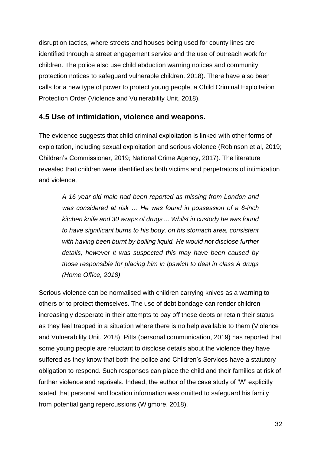disruption tactics, where streets and houses being used for county lines are identified through a street engagement service and the use of outreach work for children. The police also use child abduction warning notices and community protection notices to safeguard vulnerable children. 2018). There have also been calls for a new type of power to protect young people, a Child Criminal Exploitation Protection Order (Violence and Vulnerability Unit, 2018).

# <span id="page-31-0"></span>**4.5 Use of intimidation, violence and weapons.**

The evidence suggests that child criminal exploitation is linked with other forms of exploitation, including sexual exploitation and serious violence (Robinson et al, 2019; Children's Commissioner, 2019; National Crime Agency, 2017). The literature revealed that children were identified as both victims and perpetrators of intimidation and violence,

*A 16 year old male had been reported as missing from London and was considered at risk … He was found in possession of a 6-inch kitchen knife and 30 wraps of drugs ... Whilst in custody he was found to have significant burns to his body, on his stomach area, consistent*  with having been burnt by boiling liquid. He would not disclose further *details; however it was suspected this may have been caused by those responsible for placing him in Ipswich to deal in class A drugs (Home Office, 2018)*

Serious violence can be normalised with children carrying knives as a warning to others or to protect themselves. The use of debt bondage can render children increasingly desperate in their attempts to pay off these debts or retain their status as they feel trapped in a situation where there is no help available to them (Violence and Vulnerability Unit, 2018). Pitts (personal communication, 2019) has reported that some young people are reluctant to disclose details about the violence they have suffered as they know that both the police and Children's Services have a statutory obligation to respond. Such responses can place the child and their families at risk of further violence and reprisals. Indeed, the author of the case study of 'W' explicitly stated that personal and location information was omitted to safeguard his family from potential gang repercussions (Wigmore, 2018).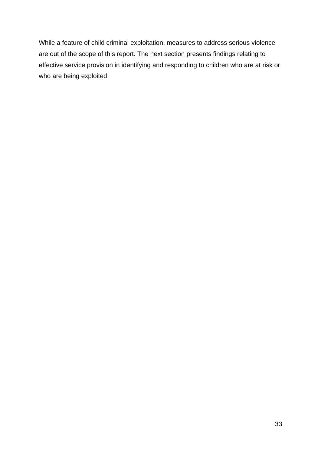While a feature of child criminal exploitation, measures to address serious violence are out of the scope of this report. The next section presents findings relating to effective service provision in identifying and responding to children who are at risk or who are being exploited.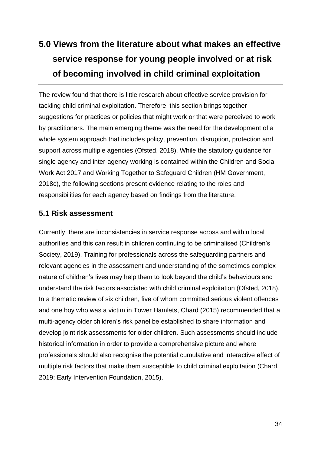# <span id="page-33-0"></span>**5.0 Views from the literature about what makes an effective service response for young people involved or at risk of becoming involved in child criminal exploitation**

The review found that there is little research about effective service provision for tackling child criminal exploitation. Therefore, this section brings together suggestions for practices or policies that might work or that were perceived to work by practitioners. The main emerging theme was the need for the development of a whole system approach that includes policy, prevention, disruption, protection and support across multiple agencies (Ofsted, 2018). While the statutory guidance for single agency and inter-agency working is contained within the Children and Social Work Act 2017 and Working Together to Safeguard Children (HM Government, 2018c), the following sections present evidence relating to the roles and responsibilities for each agency based on findings from the literature.

# <span id="page-33-1"></span>**5.1 Risk assessment**

Currently, there are inconsistencies in service response across and within local authorities and this can result in children continuing to be criminalised (Children's Society, 2019). Training for professionals across the safeguarding partners and relevant agencies in the assessment and understanding of the sometimes complex nature of children's lives may help them to look beyond the child's behaviours and understand the risk factors associated with child criminal exploitation (Ofsted, 2018). In a thematic review of six children, five of whom committed serious violent offences and one boy who was a victim in Tower Hamlets, Chard (2015) recommended that a multi-agency older children's risk panel be established to share information and develop joint risk assessments for older children. Such assessments should include historical information in order to provide a comprehensive picture and where professionals should also recognise the potential cumulative and interactive effect of multiple risk factors that make them susceptible to child criminal exploitation (Chard, 2019; Early Intervention Foundation, 2015).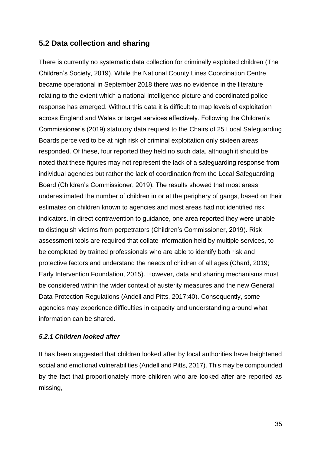## <span id="page-34-0"></span>**5.2 Data collection and sharing**

There is currently no systematic data collection for criminally exploited children (The Children's Society, 2019). While the National County Lines Coordination Centre became operational in September 2018 there was no evidence in the literature relating to the extent which a national intelligence picture and coordinated police response has emerged. Without this data it is difficult to map levels of exploitation across England and Wales or target services effectively. Following the Children's Commissioner's (2019) statutory data request to the Chairs of 25 Local Safeguarding Boards perceived to be at high risk of criminal exploitation only sixteen areas responded. Of these, four reported they held no such data, although it should be noted that these figures may not represent the lack of a safeguarding response from individual agencies but rather the lack of coordination from the Local Safeguarding Board (Children's Commissioner, 2019). The results showed that most areas underestimated the number of children in or at the periphery of gangs, based on their estimates on children known to agencies and most areas had not identified risk indicators. In direct contravention to guidance, one area reported they were unable to distinguish victims from perpetrators (Children's Commissioner, 2019). Risk assessment tools are required that collate information held by multiple services, to be completed by trained professionals who are able to identify both risk and protective factors and understand the needs of children of all ages (Chard, 2019; Early Intervention Foundation, 2015). However, data and sharing mechanisms must be considered within the wider context of austerity measures and the new General Data Protection Regulations (Andell and Pitts, 2017:40). Consequently, some agencies may experience difficulties in capacity and understanding around what information can be shared.

#### <span id="page-34-1"></span>*5.2.1 Children looked after*

It has been suggested that children looked after by local authorities have heightened social and emotional vulnerabilities (Andell and Pitts, 2017). This may be compounded by the fact that proportionately more children who are looked after are reported as missing,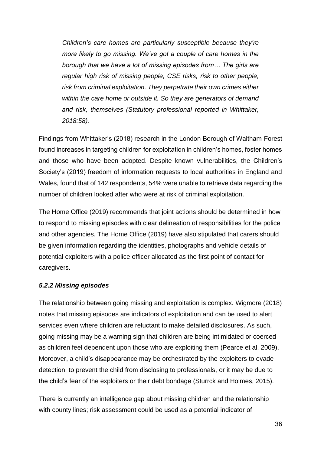*Children's care homes are particularly susceptible because they're more likely to go missing. We've got a couple of care homes in the borough that we have a lot of missing episodes from… The girls are regular high risk of missing people, CSE risks, risk to other people, risk from criminal exploitation. They perpetrate their own crimes either within the care home or outside it. So they are generators of demand and risk, themselves (Statutory professional reported in Whittaker, 2018:58).*

Findings from Whittaker's (2018) research in the London Borough of Waltham Forest found increases in targeting children for exploitation in children's homes, foster homes and those who have been adopted. Despite known vulnerabilities, the Children's Society's (2019) freedom of information requests to local authorities in England and Wales, found that of 142 respondents, 54% were unable to retrieve data regarding the number of children looked after who were at risk of criminal exploitation.

The Home Office (2019) recommends that joint actions should be determined in how to respond to missing episodes with clear delineation of responsibilities for the police and other agencies. The Home Office (2019) have also stipulated that carers should be given information regarding the identities, photographs and vehicle details of potential exploiters with a police officer allocated as the first point of contact for caregivers.

#### <span id="page-35-0"></span>*5.2.2 Missing episodes*

The relationship between going missing and exploitation is complex. Wigmore (2018) notes that missing episodes are indicators of exploitation and can be used to alert services even where children are reluctant to make detailed disclosures. As such, going missing may be a warning sign that children are being intimidated or coerced as children feel dependent upon those who are exploiting them (Pearce et al. 2009). Moreover, a child's disappearance may be orchestrated by the exploiters to evade detection, to prevent the child from disclosing to professionals, or it may be due to the child's fear of the exploiters or their debt bondage (Sturrck and Holmes, 2015).

There is currently an intelligence gap about missing children and the relationship with county lines; risk assessment could be used as a potential indicator of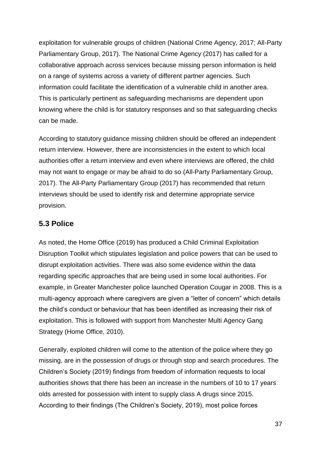exploitation for vulnerable groups of children (National Crime Agency, 2017; All-Party Parliamentary Group, 2017). The National Crime Agency (2017) has called for a collaborative approach across services because missing person information is held on a range of systems across a variety of different partner agencies. Such information could facilitate the identification of a vulnerable child in another area. This is particularly pertinent as safeguarding mechanisms are dependent upon knowing where the child is for statutory responses and so that safeguarding checks can be made.

According to statutory guidance missing children should be offered an independent return interview. However, there are inconsistencies in the extent to which local authorities offer a return interview and even where interviews are offered, the child may not want to engage or may be afraid to do so (All-Party Parliamentary Group, 2017). The All-Party Parliamentary Group (2017) has recommended that return interviews should be used to identify risk and determine appropriate service provision.

## <span id="page-36-0"></span>**5.3 Police**

As noted, the Home Office (2019) has produced a Child Criminal Exploitation Disruption Toolkit which stipulates legislation and police powers that can be used to disrupt exploitation activities. There was also some evidence within the data regarding specific approaches that are being used in some local authorities. For example, in Greater Manchester police launched Operation Cougar in 2008. This is a multi-agency approach where caregivers are given a "letter of concern" which details the child's conduct or behaviour that has been identified as increasing their risk of exploitation. This is followed with support from Manchester Multi Agency Gang Strategy (Home Office, 2010).

Generally, exploited children will come to the attention of the police where they go missing, are in the possession of drugs or through stop and search procedures. The Children's Society (2019) findings from freedom of information requests to local authorities shows that there has been an increase in the numbers of 10 to 17 years olds arrested for possession with intent to supply class A drugs since 2015. According to their findings (The Children's Society, 2019), most police forces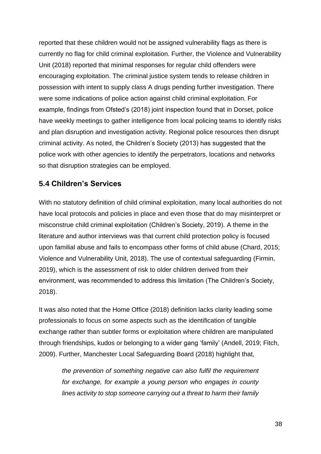reported that these children would not be assigned vulnerability flags as there is currently no flag for child criminal exploitation. Further, the Violence and Vulnerability Unit (2018) reported that minimal responses for regular child offenders were encouraging exploitation. The criminal justice system tends to release children in possession with intent to supply class A drugs pending further investigation. There were some indications of police action against child criminal exploitation. For example, findings from Ofsted's (2018) joint inspection found that in Dorset, police have weekly meetings to gather intelligence from local policing teams to identify risks and plan disruption and investigation activity. Regional police resources then disrupt criminal activity. As noted, the Children's Society (2013) has suggested that the police work with other agencies to identify the perpetrators, locations and networks so that disruption strategies can be employed.

# <span id="page-37-0"></span>**5.4 Children's Services**

With no statutory definition of child criminal exploitation, many local authorities do not have local protocols and policies in place and even those that do may misinterpret or misconstrue child criminal exploitation (Children's Society, 2019). A theme in the literature and author interviews was that current child protection policy is focused upon familial abuse and fails to encompass other forms of child abuse (Chard, 2015; Violence and Vulnerability Unit, 2018). The use of contextual safeguarding (Firmin, 2019), which is the assessment of risk to older children derived from their environment, was recommended to address this limitation (The Children's Society, 2018).

It was also noted that the Home Office (2018) definition lacks clarity leading some professionals to focus on some aspects such as the identification of tangible exchange rather than subtler forms or exploitation where children are manipulated through friendships, kudos or belonging to a wider gang 'family' (Andell, 2019; Fitch, 2009). Further, Manchester Local Safeguarding Board (2018) highlight that,

*the prevention of something negative can also fulfil the requirement for exchange, for example a young person who engages in county lines activity to stop someone carrying out a threat to harm their family*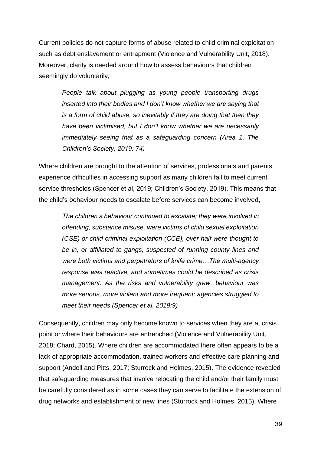Current policies do not capture forms of abuse related to child criminal exploitation such as debt enslavement or entrapment (Violence and Vulnerability Unit, 2018). Moreover, clarity is needed around how to assess behaviours that children seemingly do voluntarily,

*People talk about plugging as young people transporting drugs inserted into their bodies and I don't know whether we are saying that is a form of child abuse, so inevitably if they are doing that then they have been victimised, but I don't know whether we are necessarily immediately seeing that as a safeguarding concern (Area 1, The Children's Society, 2019: 74)*

Where children are brought to the attention of services, professionals and parents experience difficulties in accessing support as many children fail to meet current service thresholds (Spencer et al, 2019; Children's Society, 2019). This means that the child's behaviour needs to escalate before services can become involved,

*The children's behaviour continued to escalate; they were involved in offending, substance misuse, were victims of child sexual exploitation (CSE) or child criminal exploitation (CCE), over half were thought to be in, or affiliated to gangs, suspected of running county lines and were both victims and perpetrators of knife crime…The multi-agency response was reactive, and sometimes could be described as crisis management. As the risks and vulnerability grew, behaviour was more serious, more violent and more frequent; agencies struggled to meet their needs (Spencer et al, 2019:9)*

Consequently, children may only become known to services when they are at crisis point or where their behaviours are entrenched (Violence and Vulnerability Unit, 2018; Chard, 2015). Where children are accommodated there often appears to be a lack of appropriate accommodation, trained workers and effective care planning and support (Andell and Pitts, 2017; Sturrock and Holmes, 2015). The evidence revealed that safeguarding measures that involve relocating the child and/or their family must be carefully considered as in some cases they can serve to facilitate the extension of drug networks and establishment of new lines (Sturrock and Holmes, 2015). Where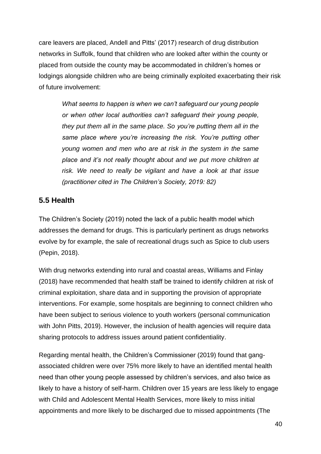care leavers are placed, Andell and Pitts' (2017) research of drug distribution networks in Suffolk, found that children who are looked after within the county or placed from outside the county may be accommodated in children's homes or lodgings alongside children who are being criminally exploited exacerbating their risk of future involvement:

*What seems to happen is when we can't safeguard our young people or when other local authorities can't safeguard their young people, they put them all in the same place. So you're putting them all in the same place where you're increasing the risk. You're putting other young women and men who are at risk in the system in the same place and it's not really thought about and we put more children at risk. We need to really be vigilant and have a look at that issue (practitioner cited in The Children's Society, 2019: 82)*

## <span id="page-39-0"></span>**5.5 Health**

The Children's Society (2019) noted the lack of a public health model which addresses the demand for drugs. This is particularly pertinent as drugs networks evolve by for example, the sale of recreational drugs such as Spice to club users (Pepin, 2018).

With drug networks extending into rural and coastal areas, Williams and Finlay (2018) have recommended that health staff be trained to identify children at risk of criminal exploitation, share data and in supporting the provision of appropriate interventions. For example, some hospitals are beginning to connect children who have been subject to serious violence to youth workers (personal communication with John Pitts, 2019). However, the inclusion of health agencies will require data sharing protocols to address issues around patient confidentiality.

Regarding mental health, the Children's Commissioner (2019) found that gangassociated children were over 75% more likely to have an identified mental health need than other young people assessed by children's services, and also twice as likely to have a history of self-harm. Children over 15 years are less likely to engage with Child and Adolescent Mental Health Services, more likely to miss initial appointments and more likely to be discharged due to missed appointments (The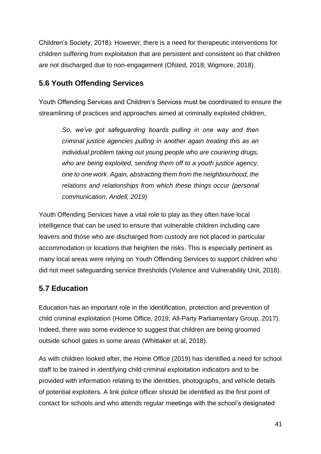Children's Society, 2018). However, there is a need for therapeutic interventions for children suffering from exploitation that are persistent and consistent so that children are not discharged due to non-engagement (Ofsted, 2018; Wigmore, 2018).

# <span id="page-40-0"></span>**5.6 Youth Offending Services**

Youth Offending Services and Children's Services must be coordinated to ensure the streamlining of practices and approaches aimed at criminally exploited children,

*So, we've got safeguarding boards pulling in one way and then criminal justice agencies pulling in another again treating this as an individual problem taking out young people who are couriering drugs, who are being exploited, sending them off to a youth justice agency, one to one work. Again, abstracting them from the neighbourhood, the relations and relationships from which these things occur (personal communication, Andell, 2019)*

Youth Offending Services have a vital role to play as they often have local intelligence that can be used to ensure that vulnerable children including care leavers and those who are discharged from custody are not placed in particular accommodation or locations that heighten the risks. This is especially pertinent as many local areas were relying on Youth Offending Services to support children who did not meet safeguarding service thresholds (Violence and Vulnerability Unit, 2018).

# <span id="page-40-1"></span>**5.7 Education**

Education has an important role in the identification, protection and prevention of child criminal exploitation (Home Office, 2019; All-Party Parliamentary Group, 2017). Indeed, there was some evidence to suggest that children are being groomed outside school gates in some areas (Whittaker et al, 2018).

As with children looked after, the Home Office (2019) has identified a need for school staff to be trained in identifying child criminal exploitation indicators and to be provided with information relating to the identities, photographs, and vehicle details of potential exploiters. A link police officer should be identified as the first point of contact for schools and who attends regular meetings with the school's designated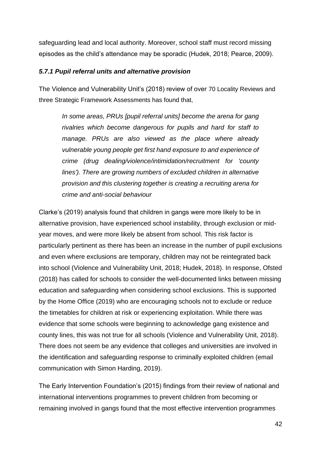safeguarding lead and local authority. Moreover, school staff must record missing episodes as the child's attendance may be sporadic (Hudek, 2018; Pearce, 2009).

#### <span id="page-41-0"></span>*5.7.1 Pupil referral units and alternative provision*

The Violence and Vulnerability Unit's (2018) review of over 70 Locality Reviews and three Strategic Framework Assessments has found that,

*In some areas, PRUs [pupil referral units] become the arena for gang rivalries which become dangerous for pupils and hard for staff to manage. PRUs are also viewed as the place where already vulnerable young people get first hand exposure to and experience of crime (drug dealing/violence/intimidation/recruitment for 'county lines'). There are growing numbers of excluded children in alternative provision and this clustering together is creating a recruiting arena for crime and anti-social behaviour*

Clarke's (2019) analysis found that children in gangs were more likely to be in alternative provision, have experienced school instability, through exclusion or midyear moves, and were more likely be absent from school. This risk factor is particularly pertinent as there has been an increase in the number of pupil exclusions and even where exclusions are temporary, children may not be reintegrated back into school (Violence and Vulnerability Unit, 2018; Hudek, 2018). In response, Ofsted (2018) has called for schools to consider the well-documented links between missing education and safeguarding when considering school exclusions. This is supported by the Home Office (2019) who are encouraging schools not to exclude or reduce the timetables for children at risk or experiencing exploitation. While there was evidence that some schools were beginning to acknowledge gang existence and county lines, this was not true for all schools (Violence and Vulnerability Unit, 2018). There does not seem be any evidence that colleges and universities are involved in the identification and safeguarding response to criminally exploited children (email communication with Simon Harding, 2019).

The Early Intervention Foundation's (2015) findings from their review of national and international interventions programmes to prevent children from becoming or remaining involved in gangs found that the most effective intervention programmes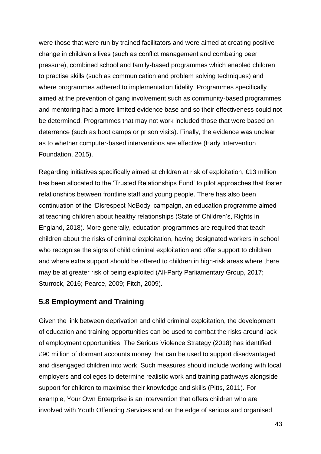were those that were run by trained facilitators and were aimed at creating positive change in children's lives (such as conflict management and combating peer pressure), combined school and family-based programmes which enabled children to practise skills (such as communication and problem solving techniques) and where programmes adhered to implementation fidelity. Programmes specifically aimed at the prevention of gang involvement such as community-based programmes and mentoring had a more limited evidence base and so their effectiveness could not be determined. Programmes that may not work included those that were based on deterrence (such as boot camps or prison visits). Finally, the evidence was unclear as to whether computer-based interventions are effective (Early Intervention Foundation, 2015).

Regarding initiatives specifically aimed at children at risk of exploitation, £13 million has been allocated to the 'Trusted Relationships Fund' to pilot approaches that foster relationships between frontline staff and young people. There has also been continuation of the 'Disrespect NoBody' campaign, an education programme aimed at teaching children about healthy relationships (State of Children's, Rights in England, 2018). More generally, education programmes are required that teach children about the risks of criminal exploitation, having designated workers in school who recognise the signs of child criminal exploitation and offer support to children and where extra support should be offered to children in high-risk areas where there may be at greater risk of being exploited (All-Party Parliamentary Group, 2017; Sturrock, 2016; Pearce, 2009; Fitch, 2009).

## <span id="page-42-0"></span>**5.8 Employment and Training**

Given the link between deprivation and child criminal exploitation, the development of education and training opportunities can be used to combat the risks around lack of employment opportunities. The Serious Violence Strategy (2018) has identified £90 million of dormant accounts money that can be used to support disadvantaged and disengaged children into work. Such measures should include working with local employers and colleges to determine realistic work and training pathways alongside support for children to maximise their knowledge and skills (Pitts, 2011). For example, Your Own Enterprise is an intervention that offers children who are involved with Youth Offending Services and on the edge of serious and organised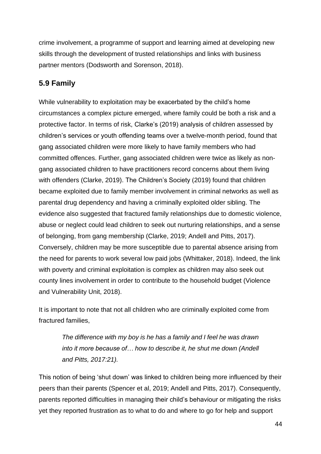crime involvement, a programme of support and learning aimed at developing new skills through the development of trusted relationships and links with business partner mentors (Dodsworth and Sorenson, 2018).

# <span id="page-43-0"></span>**5.9 Family**

While vulnerability to exploitation may be exacerbated by the child's home circumstances a complex picture emerged, where family could be both a risk and a protective factor. In terms of risk, Clarke's (2019) analysis of children assessed by children's services or youth offending teams over a twelve-month period, found that gang associated children were more likely to have family members who had committed offences. Further, gang associated children were twice as likely as nongang associated children to have practitioners record concerns about them living with offenders (Clarke, 2019). The Children's Society (2019) found that children became exploited due to family member involvement in criminal networks as well as parental drug dependency and having a criminally exploited older sibling. The evidence also suggested that fractured family relationships due to domestic violence, abuse or neglect could lead children to seek out nurturing relationships, and a sense of belonging, from gang membership (Clarke, 2019; Andell and Pitts, 2017). Conversely, children may be more susceptible due to parental absence arising from the need for parents to work several low paid jobs (Whittaker, 2018). Indeed, the link with poverty and criminal exploitation is complex as children may also seek out county lines involvement in order to contribute to the household budget (Violence and Vulnerability Unit, 2018).

It is important to note that not all children who are criminally exploited come from fractured families,

> *The difference with my boy is he has a family and I feel he was drawn into it more because of… how to describe it, he shut me down (Andell and Pitts, 2017:21).*

This notion of being 'shut down' was linked to children being more influenced by their peers than their parents (Spencer et al, 2019; Andell and Pitts, 2017). Consequently, parents reported difficulties in managing their child's behaviour or mitigating the risks yet they reported frustration as to what to do and where to go for help and support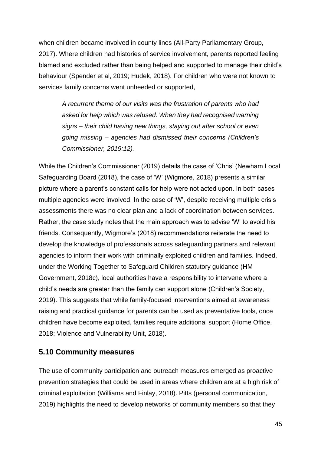when children became involved in county lines (All-Party Parliamentary Group, 2017). Where children had histories of service involvement, parents reported feeling blamed and excluded rather than being helped and supported to manage their child's behaviour (Spender et al, 2019; Hudek, 2018). For children who were not known to services family concerns went unheeded or supported,

*A recurrent theme of our visits was the frustration of parents who had asked for help which was refused. When they had recognised warning signs – their child having new things, staying out after school or even going missing – agencies had dismissed their concerns (Children's Commissioner, 2019:12).* 

While the Children's Commissioner (2019) details the case of 'Chris' (Newham Local Safeguarding Board (2018), the case of 'W' (Wigmore, 2018) presents a similar picture where a parent's constant calls for help were not acted upon. In both cases multiple agencies were involved. In the case of 'W', despite receiving multiple crisis assessments there was no clear plan and a lack of coordination between services. Rather, the case study notes that the main approach was to advise 'W' to avoid his friends. Consequently, Wigmore's (2018) recommendations reiterate the need to develop the knowledge of professionals across safeguarding partners and relevant agencies to inform their work with criminally exploited children and families. Indeed, under the Working Together to Safeguard Children statutory guidance (HM Government, 2018c), local authorities have a responsibility to intervene where a child's needs are greater than the family can support alone (Children's Society, 2019). This suggests that while family-focused interventions aimed at awareness raising and practical guidance for parents can be used as preventative tools, once children have become exploited, families require additional support (Home Office, 2018; Violence and Vulnerability Unit, 2018).

## <span id="page-44-0"></span>**5.10 Community measures**

The use of community participation and outreach measures emerged as proactive prevention strategies that could be used in areas where children are at a high risk of criminal exploitation (Williams and Finlay, 2018). Pitts (personal communication, 2019) highlights the need to develop networks of community members so that they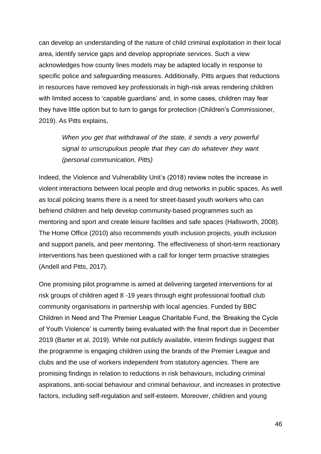can develop an understanding of the nature of child criminal exploitation in their local area, identify service gaps and develop appropriate services. Such a view acknowledges how county lines models may be adapted locally in response to specific police and safeguarding measures. Additionally, Pitts argues that reductions in resources have removed key professionals in high-risk areas rendering children with limited access to 'capable guardians' and, in some cases, children may fear they have little option but to turn to gangs for protection (Children's Commissioner, 2019). As Pitts explains,

*When you get that withdrawal of the state, it sends a very powerful signal to unscrupulous people that they can do whatever they want (personal communication, Pitts)*

Indeed, the Violence and Vulnerability Unit's (2018) review notes the increase in violent interactions between local people and drug networks in public spaces. As well as local policing teams there is a need for street-based youth workers who can befriend children and help develop community-based programmes such as mentoring and sport and create leisure facilities and safe spaces (Hallsworth, 2008). The Home Office (2010) also recommends youth inclusion projects, youth inclusion and support panels, and peer mentoring. The effectiveness of short-term reactionary interventions has been questioned with a call for longer term proactive strategies (Andell and Pitts, 2017).

One promising pilot programme is aimed at delivering targeted interventions for at risk groups of children aged 8 -19 years through eight professional football club community organisations in partnership with local agencies. Funded by BBC Children in Need and The Premier League Charitable Fund, the 'Breaking the Cycle of Youth Violence' is currently being evaluated with the final report due in December 2019 (Barter et al, 2019). While not publicly available, interim findings suggest that the programme is engaging children using the brands of the Premier League and clubs and the use of workers independent from statutory agencies. There are promising findings in relation to reductions in risk behaviours, including criminal aspirations, anti-social behaviour and criminal behaviour, and increases in protective factors, including self-regulation and self-esteem. Moreover, children and young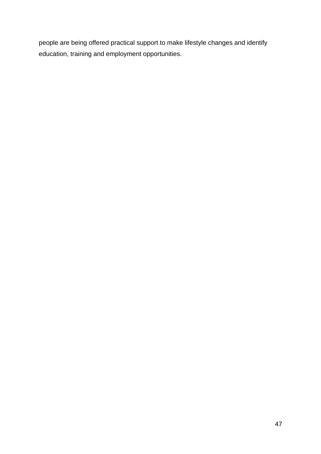people are being offered practical support to make lifestyle changes and identify education, training and employment opportunities.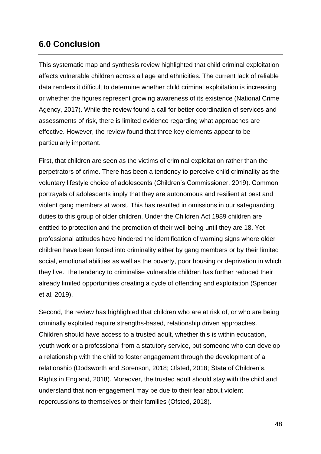# <span id="page-47-0"></span>**6.0 Conclusion**

This systematic map and synthesis review highlighted that child criminal exploitation affects vulnerable children across all age and ethnicities. The current lack of reliable data renders it difficult to determine whether child criminal exploitation is increasing or whether the figures represent growing awareness of its existence (National Crime Agency, 2017). While the review found a call for better coordination of services and assessments of risk, there is limited evidence regarding what approaches are effective. However, the review found that three key elements appear to be particularly important.

First, that children are seen as the victims of criminal exploitation rather than the perpetrators of crime. There has been a tendency to perceive child criminality as the voluntary lifestyle choice of adolescents (Children's Commissioner, 2019). Common portrayals of adolescents imply that they are autonomous and resilient at best and violent gang members at worst. This has resulted in omissions in our safeguarding duties to this group of older children. Under the Children Act 1989 children are entitled to protection and the promotion of their well-being until they are 18. Yet professional attitudes have hindered the identification of warning signs where older children have been forced into criminality either by gang members or by their limited social, emotional abilities as well as the poverty, poor housing or deprivation in which they live. The tendency to criminalise vulnerable children has further reduced their already limited opportunities creating a cycle of offending and exploitation (Spencer et al, 2019).

Second, the review has highlighted that children who are at risk of, or who are being criminally exploited require strengths-based, relationship driven approaches. Children should have access to a trusted adult, whether this is within education, youth work or a professional from a statutory service, but someone who can develop a relationship with the child to foster engagement through the development of a relationship (Dodsworth and Sorenson, 2018; Ofsted, 2018; State of Children's, Rights in England, 2018). Moreover, the trusted adult should stay with the child and understand that non-engagement may be due to their fear about violent repercussions to themselves or their families (Ofsted, 2018).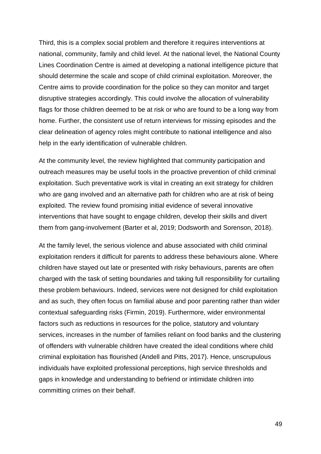Third, this is a complex social problem and therefore it requires interventions at national, community, family and child level. At the national level, the National County Lines Coordination Centre is aimed at developing a national intelligence picture that should determine the scale and scope of child criminal exploitation. Moreover, the Centre aims to provide coordination for the police so they can monitor and target disruptive strategies accordingly. This could involve the allocation of vulnerability flags for those children deemed to be at risk or who are found to be a long way from home. Further, the consistent use of return interviews for missing episodes and the clear delineation of agency roles might contribute to national intelligence and also help in the early identification of vulnerable children.

At the community level, the review highlighted that community participation and outreach measures may be useful tools in the proactive prevention of child criminal exploitation. Such preventative work is vital in creating an exit strategy for children who are gang involved and an alternative path for children who are at risk of being exploited. The review found promising initial evidence of several innovative interventions that have sought to engage children, develop their skills and divert them from gang-involvement (Barter et al, 2019; Dodsworth and Sorenson, 2018).

At the family level, the serious violence and abuse associated with child criminal exploitation renders it difficult for parents to address these behaviours alone. Where children have stayed out late or presented with risky behaviours, parents are often charged with the task of setting boundaries and taking full responsibility for curtailing these problem behaviours. Indeed, services were not designed for child exploitation and as such, they often focus on familial abuse and poor parenting rather than wider contextual safeguarding risks (Firmin, 2019). Furthermore, wider environmental factors such as reductions in resources for the police, statutory and voluntary services, increases in the number of families reliant on food banks and the clustering of offenders with vulnerable children have created the ideal conditions where child criminal exploitation has flourished (Andell and Pitts, 2017). Hence, unscrupulous individuals have exploited professional perceptions, high service thresholds and gaps in knowledge and understanding to befriend or intimidate children into committing crimes on their behalf.

49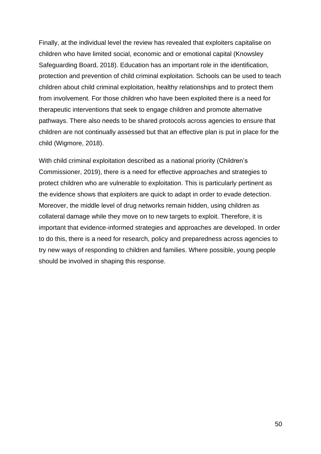Finally, at the individual level the review has revealed that exploiters capitalise on children who have limited social, economic and or emotional capital (Knowsley Safeguarding Board, 2018). Education has an important role in the identification, protection and prevention of child criminal exploitation. Schools can be used to teach children about child criminal exploitation, healthy relationships and to protect them from involvement. For those children who have been exploited there is a need for therapeutic interventions that seek to engage children and promote alternative pathways. There also needs to be shared protocols across agencies to ensure that children are not continually assessed but that an effective plan is put in place for the child (Wigmore, 2018).

With child criminal exploitation described as a national priority (Children's Commissioner, 2019), there is a need for effective approaches and strategies to protect children who are vulnerable to exploitation. This is particularly pertinent as the evidence shows that exploiters are quick to adapt in order to evade detection. Moreover, the middle level of drug networks remain hidden, using children as collateral damage while they move on to new targets to exploit. Therefore, it is important that evidence-informed strategies and approaches are developed. In order to do this, there is a need for research, policy and preparedness across agencies to try new ways of responding to children and families. Where possible, young people should be involved in shaping this response.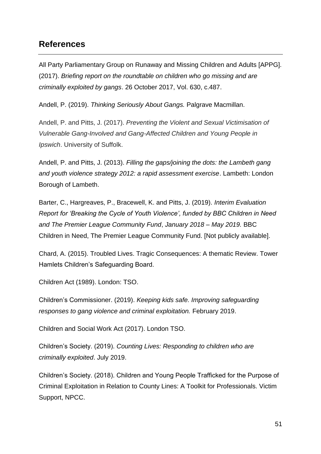# <span id="page-50-0"></span>**References**

All Party Parliamentary Group on Runaway and Missing Children and Adults [APPG]. (2017). *Briefing report on the roundtable on children who go missing and are criminally exploited by gangs*. 26 October 2017, Vol. 630, c.487.

Andell, P. (2019). *Thinking Seriously About Gangs.* Palgrave Macmillan.

Andell, P. and Pitts, J. (2017). *Preventing the Violent and Sexual Victimisation of Vulnerable Gang-Involved and Gang-Affected Children and Young People in Ipswich*. University of Suffolk.

Andell, P. and Pitts, J. (2013). *Filling the gaps/joining the dots: the Lambeth gang and youth violence strategy 2012: a rapid assessment exercise*. Lambeth: London Borough of Lambeth.

Barter, C., Hargreaves, P., Bracewell, K. and Pitts, J. (2019). *Interim Evaluation Report for 'Breaking the Cycle of Youth Violence', funded by BBC Children in Need and The Premier League Community Fund*, *January 2018 – May 2019.* BBC Children in Need, The Premier League Community Fund. [Not publicly available].

Chard, A. (2015). Troubled Lives. Tragic Consequences: A thematic Review. Tower Hamlets Children's Safeguarding Board.

Children Act (1989). London: TSO.

Children's Commissioner. (2019). *Keeping kids safe. Improving safeguarding responses to gang violence and criminal exploitation.* February 2019.

Children and Social Work Act (2017). London TSO.

Children's Society. (2019). *Counting Lives: Responding to children who are criminally exploited*. July 2019.

Children's Society. (2018). Children and Young People Trafficked for the Purpose of Criminal Exploitation in Relation to County Lines: A Toolkit for Professionals. Victim Support, NPCC.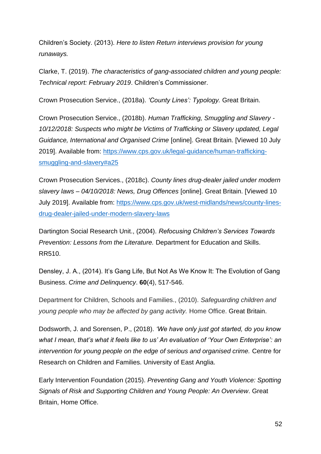Children's Society. (2013). *Here to listen Return interviews provision for young runaways.*

Clarke, T. (2019). *The characteristics of gang-associated children and young people: Technical report: February 2019*. Children's Commissioner.

Crown Prosecution Service., (2018a). *'County Lines': Typology.* Great Britain.

Crown Prosecution Service., (2018b). *Human Trafficking, Smuggling and Slavery - 10/12/2018: Suspects who might be Victims of Trafficking or Slavery updated, Legal Guidance, International and Organised Crime* [online]. Great Britain. [Viewed 10 July 2019]. Available from: [https://www.cps.gov.uk/legal-guidance/human-trafficking](https://www.cps.gov.uk/legal-guidance/human-trafficking-smuggling-and-slavery#a25)[smuggling-and-slavery#a25](https://www.cps.gov.uk/legal-guidance/human-trafficking-smuggling-and-slavery#a25)

Crown Prosecution Services., (2018c). *County lines drug-dealer jailed under modern slavery laws – 04/10/2018: News, Drug Offences* [online]. Great Britain. [Viewed 10 July 2019]. Available from: [https://www.cps.gov.uk/west-midlands/news/county-lines](https://www.cps.gov.uk/west-midlands/news/county-lines-drug-dealer-jailed-under-modern-slavery-laws)[drug-dealer-jailed-under-modern-slavery-laws](https://www.cps.gov.uk/west-midlands/news/county-lines-drug-dealer-jailed-under-modern-slavery-laws)

Dartington Social Research Unit., (2004). *Refocusing Children's Services Towards Prevention: Lessons from the Literature.* Department for Education and Skills. RR510.

Densley, J. A., (2014). It's Gang Life, But Not As We Know It: The Evolution of Gang Business. *Crime and Delinquency*. **60**(4), 517-546.

Department for Children, Schools and Families., (2010). *Safeguarding children and young people who may be affected by gang activity.* Home Office. Great Britain.

Dodsworth, J. and Sorensen, P., (2018). *'We have only just got started, do you know what I mean, that's what it feels like to us' An evaluation of 'Your Own Enterprise': an intervention for young people on the edge of serious and organised crime.* Centre for Research on Children and Families. University of East Anglia.

Early Intervention Foundation (2015). *Preventing Gang and Youth Violence: Spotting Signals of Risk and Supporting Children and Young People: An Overview*. Great Britain, Home Office.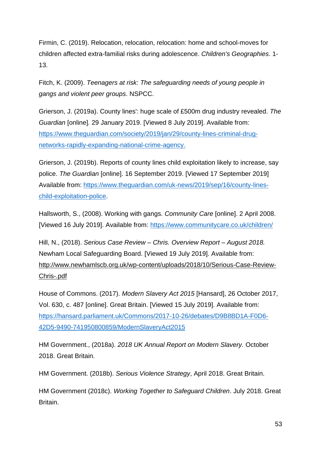Firmin, C. (2019). Relocation, relocation, relocation: home and school-moves for children affected extra-familial risks during adolescence. *Children's Geographies*. 1- 13.

Fitch, K. (2009). *Teenagers at risk: The safeguarding needs of young people in gangs and violent peer groups*. NSPCC.

Grierson, J. (2019a). County lines': huge scale of £500m drug industry revealed. *The Guardian* [online]*.* 29 January 2019. [Viewed 8 July 2019]. Available from: [https://www.theguardian.com/society/2019/jan/29/county-lines-criminal-drug](https://www.theguardian.com/society/2019/jan/29/county-lines-criminal-drug-networks-rapidly-expanding-national-crime-agency)[networks-rapidly-expanding-national-crime-agency.](https://www.theguardian.com/society/2019/jan/29/county-lines-criminal-drug-networks-rapidly-expanding-national-crime-agency)

Grierson, J. (2019b). Reports of county lines child exploitation likely to increase, say police. *The Guardian* [online]. 16 September 2019. [Viewed 17 September 2019] Available from: [https://www.theguardian.com/uk-news/2019/sep/16/county-lines](https://www.theguardian.com/uk-news/2019/sep/16/county-lines-child-exploitation-police)[child-exploitation-police.](https://www.theguardian.com/uk-news/2019/sep/16/county-lines-child-exploitation-police)

Hallsworth, S., (2008). Working with gangs. *Community Care* [online]. 2 April 2008. [Viewed 16 July 2019]. Available from:<https://www.communitycare.co.uk/children/>

Hill, N., (2018). *Serious Case Review – Chris. Overview Report – August 2018.*  Newham Local Safeguarding Board. [Viewed 19 July 2019]. Available from: [http://www.newhamlscb.org.uk/wp-content/uploads/2018/10/Serious-Case-Review-](http://www.newhamlscb.org.uk/wp-content/uploads/2018/10/Serious-Case-Review-Chris-.pdf)[Chris-.pdf](http://www.newhamlscb.org.uk/wp-content/uploads/2018/10/Serious-Case-Review-Chris-.pdf)

House of Commons. (2017). *Modern Slavery Act 2015* [Hansard], 26 October 2017, Vol. 630, c. 487 [online]. Great Britain. [Viewed 15 July 2019]. Available from: [https://hansard.parliament.uk/Commons/2017-10-26/debates/D9B8BD1A-F0D6-](https://hansard.parliament.uk/Commons/2017-10-26/debates/D9B8BD1A-F0D6-42D5-9490-741950800859/ModernSlaveryAct2015) [42D5-9490-741950800859/ModernSlaveryAct2015](https://hansard.parliament.uk/Commons/2017-10-26/debates/D9B8BD1A-F0D6-42D5-9490-741950800859/ModernSlaveryAct2015)

HM Government., (2018a). *2018 UK Annual Report on Modern Slavery.* October 2018. Great Britain.

HM Government. (2018b). *Serious Violence Strategy*, April 2018. Great Britain.

HM Government (2018c). *Working Together to Safeguard Children*. July 2018. Great Britain.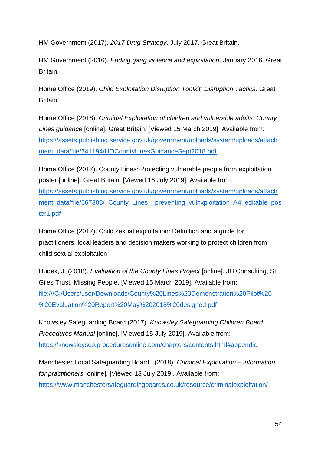HM Government (2017). *2017 Drug Strategy*. July 2017. Great Britain.

HM Government (2016). *Ending gang violence and exploitation*. January 2016. Great Britain.

Home Office (2019). *Child Exploitation Disruption Toolkit: Disruption Tactics*. Great Britain.

Home Office (2018). *Criminal Exploitation of children and vulnerable adults: County Lines guidance* [online]. Great Britain. [Viewed 15 March 2019]. Available from: [https://assets.publishing.service.gov.uk/government/uploads/system/uploads/attach](https://assets.publishing.service.gov.uk/government/uploads/system/uploads/attachment_data/file/741194/HOCountyLinesGuidanceSept2018.pdf) [ment\\_data/file/741194/HOCountyLinesGuidanceSept2018.pdf](https://assets.publishing.service.gov.uk/government/uploads/system/uploads/attachment_data/file/741194/HOCountyLinesGuidanceSept2018.pdf)

Home Office (2017). County Lines: Protecting vulnerable people from exploitation poster [online]. Great Britain. [Viewed 16 July 2019]. Available from: [https://assets.publishing.service.gov.uk/government/uploads/system/uploads/attach](https://assets.publishing.service.gov.uk/government/uploads/system/uploads/attachment_data/file/667308/_County_Lines__preventing_vulnxploitation_A4_editable_poster1.pdf) [ment\\_data/file/667308/\\_County\\_Lines\\_\\_preventing\\_vulnxploitation\\_A4\\_editable\\_pos](https://assets.publishing.service.gov.uk/government/uploads/system/uploads/attachment_data/file/667308/_County_Lines__preventing_vulnxploitation_A4_editable_poster1.pdf) [ter1.pdf](https://assets.publishing.service.gov.uk/government/uploads/system/uploads/attachment_data/file/667308/_County_Lines__preventing_vulnxploitation_A4_editable_poster1.pdf) 

Home Office (2017). Child sexual exploitation: Definition and a guide for practitioners, local leaders and decision makers working to protect children from child sexual exploitation.

Hudek, J. (2018). *Evaluation of the County Lines Project* [online]. JH Consulting, St Giles Trust, Missing People. [Viewed 15 March 2019]. Available from: [file:///C:/Users/user/Downloads/County%20Lines%20Demonstration%20Pilot%20-](file:///C:/Users/user/Downloads/County%20Lines%20Demonstration%20Pilot%20-%20Evaluation%20Report%20May%202018%20designed.pdf) [%20Evaluation%20Report%20May%202018%20designed.pdf](file:///C:/Users/user/Downloads/County%20Lines%20Demonstration%20Pilot%20-%20Evaluation%20Report%20May%202018%20designed.pdf)

Knowsley Safeguarding Board (2017). *Knowsley Safeguarding Children Board Procedures Manual* [online]. [Viewed 15 July 2019]. Available from: <https://knowsleyscb.proceduresonline.com/chapters/contents.html#appendic>

Manchester Local Safeguarding Board., (2018). *Criminal Exploitation – information for practitioners* [online]. [Viewed 13 July 2019]. Available from: <https://www.manchestersafeguardingboards.co.uk/resource/criminalexploitation/>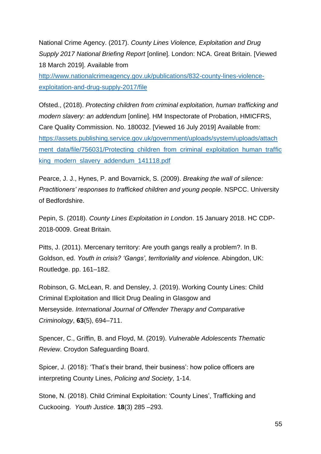National Crime Agency. (2017). *County Lines Violence, Exploitation and Drug Supply 2017 National Briefing Report* [online]. London: NCA. Great Britain. [Viewed 18 March 2019]. Available from

[http://www.nationalcrimeagency.gov.uk/publications/832-county-lines-violence](http://www.nationalcrimeagency.gov.uk/publications/832-county-lines-violence-exploitation-and-drug-supply-2017/file)[exploitation-and-drug-supply-2017/file](http://www.nationalcrimeagency.gov.uk/publications/832-county-lines-violence-exploitation-and-drug-supply-2017/file)

Ofsted., (2018). *Protecting children from criminal exploitation, human trafficking and modern slavery: an addendum* [online]. HM Inspectorate of Probation, HMICFRS, Care Quality Commission. No. 180032. [Viewed 16 July 2019] Available from: [https://assets.publishing.service.gov.uk/government/uploads/system/uploads/attach](https://assets.publishing.service.gov.uk/government/uploads/system/uploads/attachment_data/file/756031/Protecting_children_from_criminal_exploitation_human_trafficking_modern_slavery_addendum_141118.pdf) ment data/file/756031/Protecting children from criminal exploitation human traffic [king\\_modern\\_slavery\\_addendum\\_141118.pdf](https://assets.publishing.service.gov.uk/government/uploads/system/uploads/attachment_data/file/756031/Protecting_children_from_criminal_exploitation_human_trafficking_modern_slavery_addendum_141118.pdf)

Pearce, J. J., Hynes, P. and Bovarnick, S. (2009). *Breaking the wall of silence: Practitioners' responses to trafficked children and young people*. NSPCC. University of Bedfordshire.

Pepin, S. (2018). *County Lines Exploitation in London*. 15 January 2018. HC CDP-2018-0009. Great Britain.

Pitts, J. (2011). Mercenary territory: Are youth gangs really a problem?. In B. Goldson, ed. *Youth in crisis? 'Gangs', territoriality and violence.* Abingdon, UK: Routledge. pp. 161–182.

Robinson, G. McLean, R. and Densley, J. (2019). Working County Lines: Child Criminal Exploitation and Illicit Drug Dealing in Glasgow and Merseyside. *International Journal of Offender Therapy and Comparative Criminology*, **63**(5), 694–711.

Spencer, C., Griffin, B. and Floyd, M. (2019). *Vulnerable Adolescents Thematic Review*. Croydon Safeguarding Board.

Spicer, J. (2018): 'That's their brand, their business': how police officers are interpreting County Lines, *Policing and Society*, 1-14.

Stone, N. (2018). Child Criminal Exploitation: 'County Lines', Trafficking and Cuckooing. *Youth Justice.* **18**(3) 285 –293.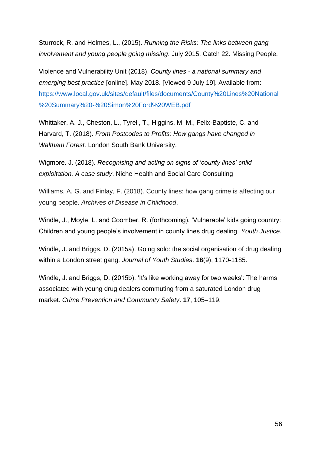Sturrock, R. and Holmes, L., (2015). *Running the Risks: The links between gang involvement and young people going missing*. July 2015. Catch 22. Missing People.

Violence and Vulnerability Unit (2018). *County lines - a national summary and emerging best practice* [online]. May 2018. [Viewed 9 July 19]. Available from: [https://www.local.gov.uk/sites/default/files/documents/County%20Lines%20National](https://www.local.gov.uk/sites/default/files/documents/County%20Lines%20National%20Summary%20-%20Simon%20Ford%20WEB.pdf) [%20Summary%20-%20Simon%20Ford%20WEB.pdf](https://www.local.gov.uk/sites/default/files/documents/County%20Lines%20National%20Summary%20-%20Simon%20Ford%20WEB.pdf)

Whittaker, A. J., Cheston, L., Tyrell, T., Higgins, M. M., Felix-Baptiste, C. and Harvard, T. (2018). *From Postcodes to Profits: How gangs have changed in Waltham Forest.* London South Bank University.

Wigmore. J. (2018). *Recognising and acting on signs of 'county lines' child exploitation. A case study*. Niche Health and Social Care Consulting

Williams, A. G. and Finlay, F. (2018). County lines: how gang crime is affecting our young people. *Archives of Disease in Childhood*.

Windle, J., Moyle, L. and Coomber, R. (forthcoming). 'Vulnerable' kids going country: Children and young people's involvement in county lines drug dealing. *Youth Justice*.

Windle, J. and Briggs, D. (2015a). Going solo: the social organisation of drug dealing within a London street gang. *Journal of Youth Studies*. **18**(9), 1170-1185.

Windle, J. and Briggs, D. (2015b). 'It's like working away for two weeks': The harms associated with young drug dealers commuting from a saturated London drug market. *Crime Prevention and Community Safety*. **17**, 105–119.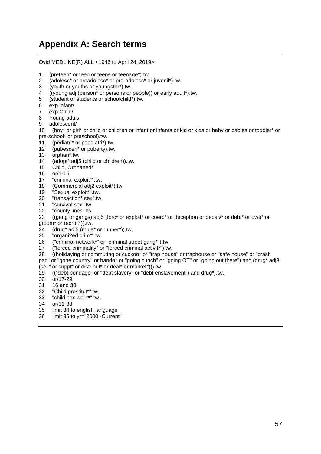# <span id="page-56-0"></span>**Appendix A: Search terms**

Ovid MEDLINE(R) ALL <1946 to April 24, 2019>

- 1 (preteen\* or teen or teens or teenage\*).tw.
- 2 (adolesc\* or preadolesc\* or pre-adolesc\* or juvenil\*).tw.
- 3 (youth or youths or youngster\*).tw.
- 4 ((young adj (person\* or persons or people)) or early adult\*).tw.
- 5 (student or students or schoolchild\*).tw.
- 6 exp infant/
- 7 exp Child/
- 8 Young adult/
- 9 adolescent/

10 (boy\* or girl\* or child or children or infant or infants or kid or kids or baby or babies or toddler\* or pre-school\* or preschool).tw.

- 11 (pediatri\* or paediatri\*).tw.
- 12 (pubescen\* or puberty).tw.
- 13 orphan\*.tw.
- 14 (adopt\* adj5 (child or children)).tw.
- 15 Child, Orphaned/
- 16 or/1-15
- 17 "criminal exploit\*".tw.
- 18 (Commercial adj2 exploit\*).tw.
- 19 "Sexual exploit\*".tw.
- 20 "transaction\* sex".tw.
- 21 "survival sex" tw
- 22 "county lines".tw.

23 ((gang or gangs) adj5 (forc\* or exploit\* or coerc\* or deception or deceiv\* or debt\* or owe\* or groom\* or recruit\*)).tw.

- $24$  (drug\* adj5 (mule\* or runner\*)).tw.<br>25 "organi?ed crim\*".tw.
- "organi?ed crim\*".tw.
- 26 ("criminal network\*" or "criminal street gang\*").tw.
- 27 ("forced criminality" or "forced criminal activit\*").tw.
- 28 ((holidaying or commuting or cuckoo\* or "trap house" or traphouse or "safe house" or "crash pad" or "gone country" or bando\* or "going cunch" or "going OT" or "going out there") and (drug\* adj3

(sell\* or suppl\* or distribut\* or deal\* or market\*))).tw.

- 29 (("debt bondage" or "debt slavery" or "debt enslavement") and drug\*).tw.
- 30 or/17-29
- 31 16 and 30
- 32 "Child prostitut\*".tw.
- 33 "child sex work\*".tw.
- 34 or/31-33
- 35 limit 34 to english language
- 36 limit 35 to yr="2000 -Current"